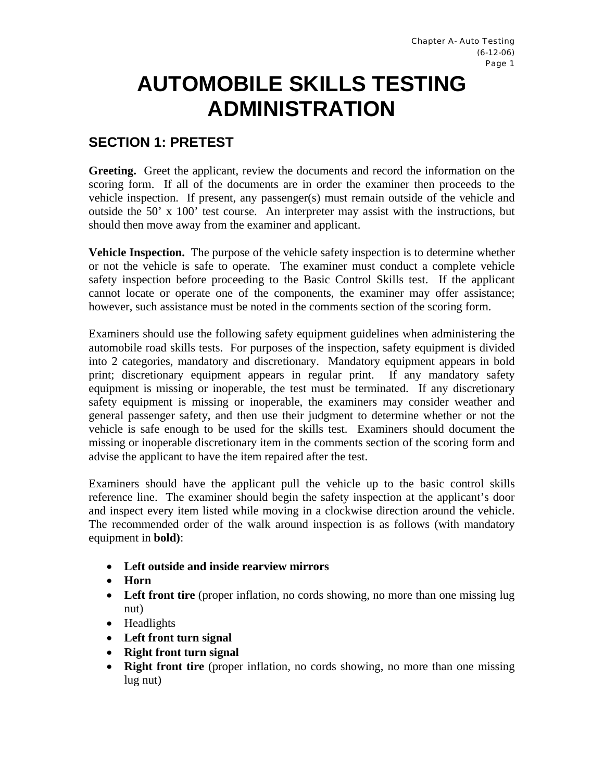# **AUTOMOBILE SKILLS TESTING ADMINISTRATION**

# **SECTION 1: PRETEST**

**Greeting.** Greet the applicant, review the documents and record the information on the scoring form. If all of the documents are in order the examiner then proceeds to the vehicle inspection. If present, any passenger(s) must remain outside of the vehicle and outside the 50' x 100' test course. An interpreter may assist with the instructions, but should then move away from the examiner and applicant.

**Vehicle Inspection.** The purpose of the vehicle safety inspection is to determine whether or not the vehicle is safe to operate. The examiner must conduct a complete vehicle safety inspection before proceeding to the Basic Control Skills test. If the applicant cannot locate or operate one of the components, the examiner may offer assistance; however, such assistance must be noted in the comments section of the scoring form.

Examiners should use the following safety equipment guidelines when administering the automobile road skills tests. For purposes of the inspection, safety equipment is divided into 2 categories, mandatory and discretionary. Mandatory equipment appears in bold print; discretionary equipment appears in regular print. If any mandatory safety equipment is missing or inoperable, the test must be terminated. If any discretionary safety equipment is missing or inoperable, the examiners may consider weather and general passenger safety, and then use their judgment to determine whether or not the vehicle is safe enough to be used for the skills test. Examiners should document the missing or inoperable discretionary item in the comments section of the scoring form and advise the applicant to have the item repaired after the test.

Examiners should have the applicant pull the vehicle up to the basic control skills reference line. The examiner should begin the safety inspection at the applicant's door and inspect every item listed while moving in a clockwise direction around the vehicle. The recommended order of the walk around inspection is as follows (with mandatory equipment in **bold)**:

- **Left outside and inside rearview mirrors**
- **Horn**
- **Left front tire** (proper inflation, no cords showing, no more than one missing lug nut)
- Headlights
- **Left front turn signal**
- **Right front turn signal**
- **Right front tire** (proper inflation, no cords showing, no more than one missing lug nut)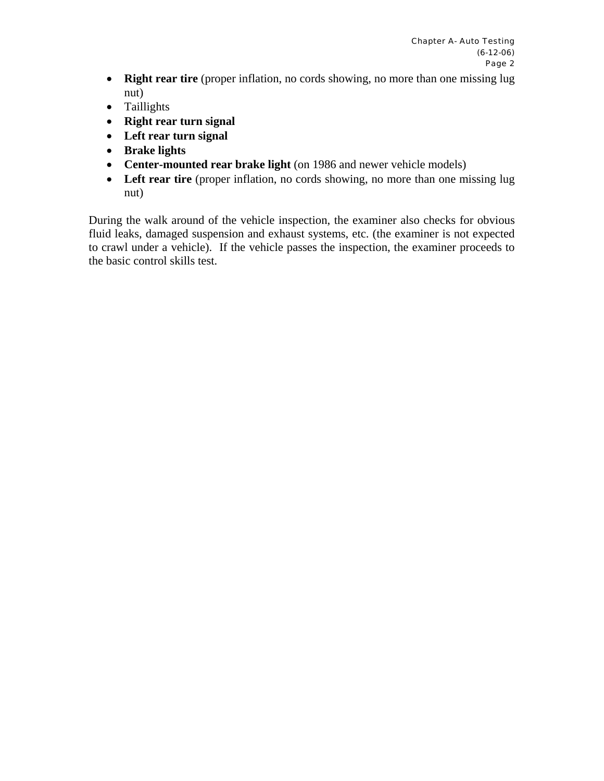- **Right rear tire** (proper inflation, no cords showing, no more than one missing lug nut)
- Taillights
- **Right rear turn signal**
- **Left rear turn signal**
- **Brake lights**
- **Center-mounted rear brake light** (on 1986 and newer vehicle models)
- Left rear tire (proper inflation, no cords showing, no more than one missing lug nut)

During the walk around of the vehicle inspection, the examiner also checks for obvious fluid leaks, damaged suspension and exhaust systems, etc. (the examiner is not expected to crawl under a vehicle). If the vehicle passes the inspection, the examiner proceeds to the basic control skills test.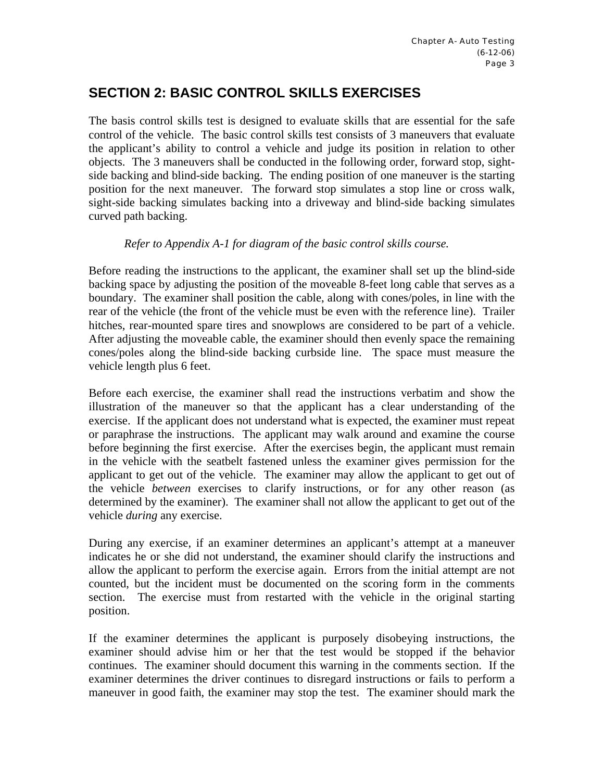# **SECTION 2: BASIC CONTROL SKILLS EXERCISES**

The basis control skills test is designed to evaluate skills that are essential for the safe control of the vehicle. The basic control skills test consists of 3 maneuvers that evaluate the applicant's ability to control a vehicle and judge its position in relation to other objects. The 3 maneuvers shall be conducted in the following order, forward stop, sightside backing and blind-side backing. The ending position of one maneuver is the starting position for the next maneuver. The forward stop simulates a stop line or cross walk, sight-side backing simulates backing into a driveway and blind-side backing simulates curved path backing.

# *Refer to Appendix A-1 for diagram of the basic control skills course.*

Before reading the instructions to the applicant, the examiner shall set up the blind-side backing space by adjusting the position of the moveable 8-feet long cable that serves as a boundary. The examiner shall position the cable, along with cones/poles, in line with the rear of the vehicle (the front of the vehicle must be even with the reference line). Trailer hitches, rear-mounted spare tires and snowplows are considered to be part of a vehicle. After adjusting the moveable cable, the examiner should then evenly space the remaining cones/poles along the blind-side backing curbside line. The space must measure the vehicle length plus 6 feet.

Before each exercise, the examiner shall read the instructions verbatim and show the illustration of the maneuver so that the applicant has a clear understanding of the exercise. If the applicant does not understand what is expected, the examiner must repeat or paraphrase the instructions. The applicant may walk around and examine the course before beginning the first exercise. After the exercises begin, the applicant must remain in the vehicle with the seatbelt fastened unless the examiner gives permission for the applicant to get out of the vehicle. The examiner may allow the applicant to get out of the vehicle *between* exercises to clarify instructions, or for any other reason (as determined by the examiner). The examiner shall not allow the applicant to get out of the vehicle *during* any exercise.

During any exercise, if an examiner determines an applicant's attempt at a maneuver indicates he or she did not understand, the examiner should clarify the instructions and allow the applicant to perform the exercise again. Errors from the initial attempt are not counted, but the incident must be documented on the scoring form in the comments section. The exercise must from restarted with the vehicle in the original starting position.

If the examiner determines the applicant is purposely disobeying instructions, the examiner should advise him or her that the test would be stopped if the behavior continues. The examiner should document this warning in the comments section. If the examiner determines the driver continues to disregard instructions or fails to perform a maneuver in good faith, the examiner may stop the test. The examiner should mark the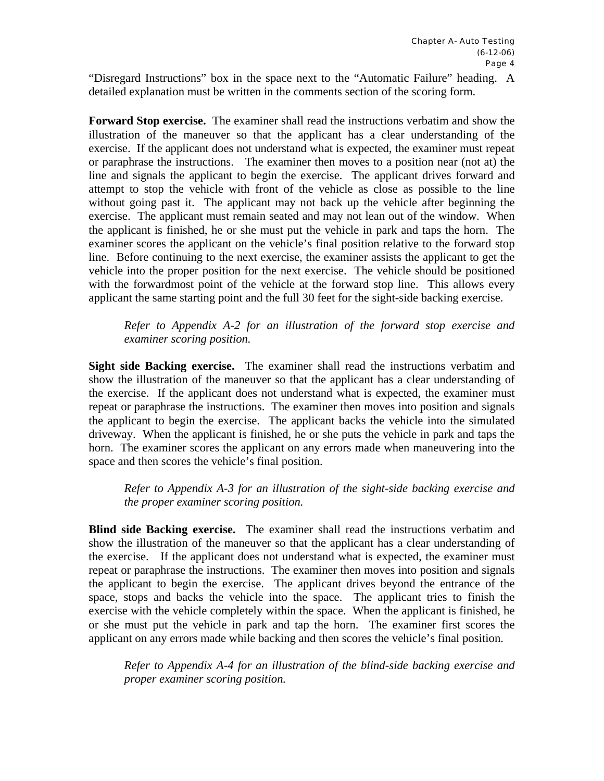"Disregard Instructions" box in the space next to the "Automatic Failure" heading. A detailed explanation must be written in the comments section of the scoring form.

**Forward Stop exercise.** The examiner shall read the instructions verbatim and show the illustration of the maneuver so that the applicant has a clear understanding of the exercise. If the applicant does not understand what is expected, the examiner must repeat or paraphrase the instructions. The examiner then moves to a position near (not at) the line and signals the applicant to begin the exercise. The applicant drives forward and attempt to stop the vehicle with front of the vehicle as close as possible to the line without going past it. The applicant may not back up the vehicle after beginning the exercise. The applicant must remain seated and may not lean out of the window. When the applicant is finished, he or she must put the vehicle in park and taps the horn. The examiner scores the applicant on the vehicle's final position relative to the forward stop line. Before continuing to the next exercise, the examiner assists the applicant to get the vehicle into the proper position for the next exercise. The vehicle should be positioned with the forwardmost point of the vehicle at the forward stop line. This allows every applicant the same starting point and the full 30 feet for the sight-side backing exercise.

# *Refer to Appendix A-2 for an illustration of the forward stop exercise and examiner scoring position.*

**Sight side Backing exercise.** The examiner shall read the instructions verbatim and show the illustration of the maneuver so that the applicant has a clear understanding of the exercise. If the applicant does not understand what is expected, the examiner must repeat or paraphrase the instructions. The examiner then moves into position and signals the applicant to begin the exercise. The applicant backs the vehicle into the simulated driveway. When the applicant is finished, he or she puts the vehicle in park and taps the horn. The examiner scores the applicant on any errors made when maneuvering into the space and then scores the vehicle's final position.

*Refer to Appendix A-3 for an illustration of the sight-side backing exercise and the proper examiner scoring position.* 

**Blind side Backing exercise.** The examiner shall read the instructions verbatim and show the illustration of the maneuver so that the applicant has a clear understanding of the exercise. If the applicant does not understand what is expected, the examiner must repeat or paraphrase the instructions. The examiner then moves into position and signals the applicant to begin the exercise. The applicant drives beyond the entrance of the space, stops and backs the vehicle into the space. The applicant tries to finish the exercise with the vehicle completely within the space. When the applicant is finished, he or she must put the vehicle in park and tap the horn. The examiner first scores the applicant on any errors made while backing and then scores the vehicle's final position.

*Refer to Appendix A-4 for an illustration of the blind-side backing exercise and proper examiner scoring position.*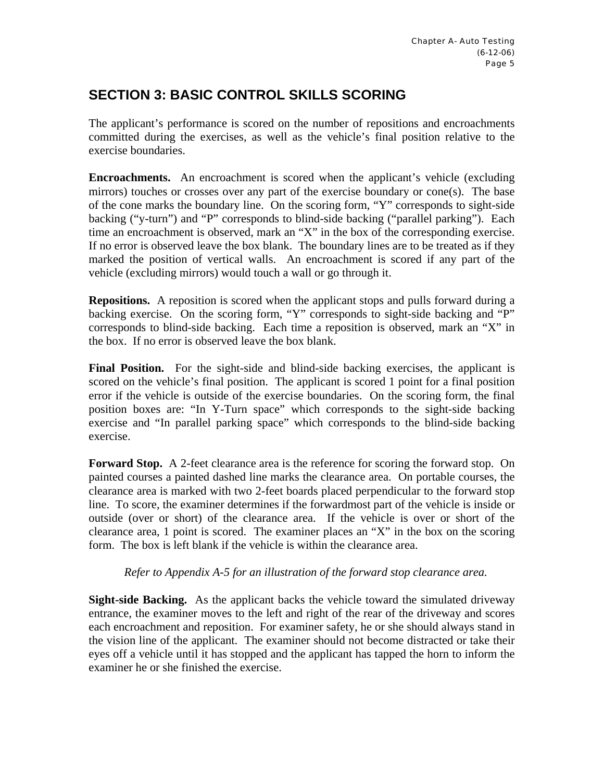# **SECTION 3: BASIC CONTROL SKILLS SCORING**

The applicant's performance is scored on the number of repositions and encroachments committed during the exercises, as well as the vehicle's final position relative to the exercise boundaries.

**Encroachments.** An encroachment is scored when the applicant's vehicle (excluding mirrors) touches or crosses over any part of the exercise boundary or cone(s). The base of the cone marks the boundary line. On the scoring form, "Y" corresponds to sight-side backing ("y-turn") and "P" corresponds to blind-side backing ("parallel parking"). Each time an encroachment is observed, mark an "X" in the box of the corresponding exercise. If no error is observed leave the box blank. The boundary lines are to be treated as if they marked the position of vertical walls. An encroachment is scored if any part of the vehicle (excluding mirrors) would touch a wall or go through it.

**Repositions.** A reposition is scored when the applicant stops and pulls forward during a backing exercise. On the scoring form, "Y" corresponds to sight-side backing and "P" corresponds to blind-side backing. Each time a reposition is observed, mark an "X" in the box. If no error is observed leave the box blank.

Final Position. For the sight-side and blind-side backing exercises, the applicant is scored on the vehicle's final position. The applicant is scored 1 point for a final position error if the vehicle is outside of the exercise boundaries. On the scoring form, the final position boxes are: "In Y-Turn space" which corresponds to the sight-side backing exercise and "In parallel parking space" which corresponds to the blind-side backing exercise.

**Forward Stop.** A 2-feet clearance area is the reference for scoring the forward stop. On painted courses a painted dashed line marks the clearance area. On portable courses, the clearance area is marked with two 2-feet boards placed perpendicular to the forward stop line. To score, the examiner determines if the forwardmost part of the vehicle is inside or outside (over or short) of the clearance area. If the vehicle is over or short of the clearance area, 1 point is scored. The examiner places an "X" in the box on the scoring form. The box is left blank if the vehicle is within the clearance area.

# *Refer to Appendix A-5 for an illustration of the forward stop clearance area.*

**Sight-side Backing.** As the applicant backs the vehicle toward the simulated driveway entrance, the examiner moves to the left and right of the rear of the driveway and scores each encroachment and reposition. For examiner safety, he or she should always stand in the vision line of the applicant. The examiner should not become distracted or take their eyes off a vehicle until it has stopped and the applicant has tapped the horn to inform the examiner he or she finished the exercise.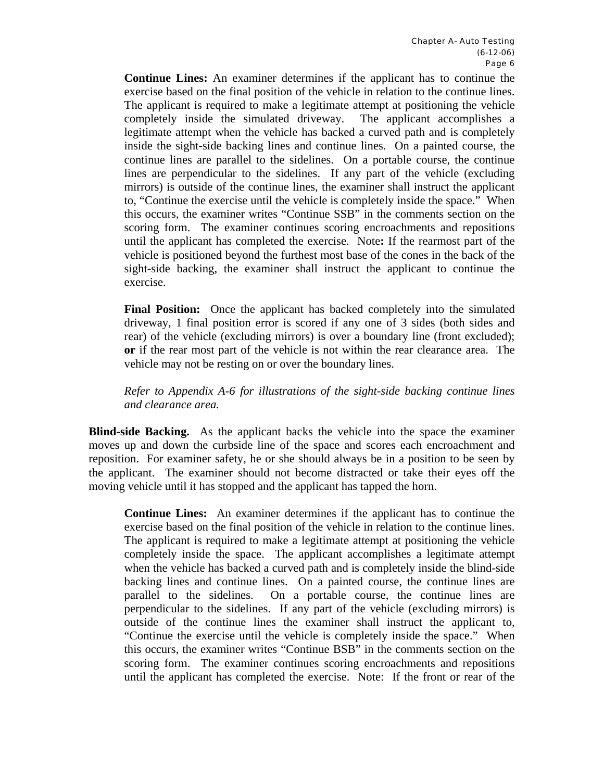**Continue Lines:** An examiner determines if the applicant has to continue the exercise based on the final position of the vehicle in relation to the continue lines. The applicant is required to make a legitimate attempt at positioning the vehicle completely inside the simulated driveway. The applicant accomplishes a legitimate attempt when the vehicle has backed a curved path and is completely inside the sight-side backing lines and continue lines. On a painted course, the continue lines are parallel to the sidelines. On a portable course, the continue lines are perpendicular to the sidelines. If any part of the vehicle (excluding mirrors) is outside of the continue lines, the examiner shall instruct the applicant to, "Continue the exercise until the vehicle is completely inside the space." When this occurs, the examiner writes "Continue SSB" in the comments section on the scoring form. The examiner continues scoring encroachments and repositions until the applicant has completed the exercise. Note**:** If the rearmost part of the vehicle is positioned beyond the furthest most base of the cones in the back of the sight-side backing, the examiner shall instruct the applicant to continue the exercise.

**Final Position:** Once the applicant has backed completely into the simulated driveway, 1 final position error is scored if any one of 3 sides (both sides and rear) of the vehicle (excluding mirrors) is over a boundary line (front excluded); **or** if the rear most part of the vehicle is not within the rear clearance area. The vehicle may not be resting on or over the boundary lines.

*Refer to Appendix A-6 for illustrations of the sight-side backing continue lines and clearance area.* 

**Blind-side Backing.** As the applicant backs the vehicle into the space the examiner moves up and down the curbside line of the space and scores each encroachment and reposition. For examiner safety, he or she should always be in a position to be seen by the applicant. The examiner should not become distracted or take their eyes off the moving vehicle until it has stopped and the applicant has tapped the horn.

**Continue Lines:** An examiner determines if the applicant has to continue the exercise based on the final position of the vehicle in relation to the continue lines. The applicant is required to make a legitimate attempt at positioning the vehicle completely inside the space. The applicant accomplishes a legitimate attempt when the vehicle has backed a curved path and is completely inside the blind-side backing lines and continue lines. On a painted course, the continue lines are parallel to the sidelines. On a portable course, the continue lines are perpendicular to the sidelines. If any part of the vehicle (excluding mirrors) is outside of the continue lines the examiner shall instruct the applicant to, "Continue the exercise until the vehicle is completely inside the space." When this occurs, the examiner writes "Continue BSB" in the comments section on the scoring form. The examiner continues scoring encroachments and repositions until the applicant has completed the exercise. Note: If the front or rear of the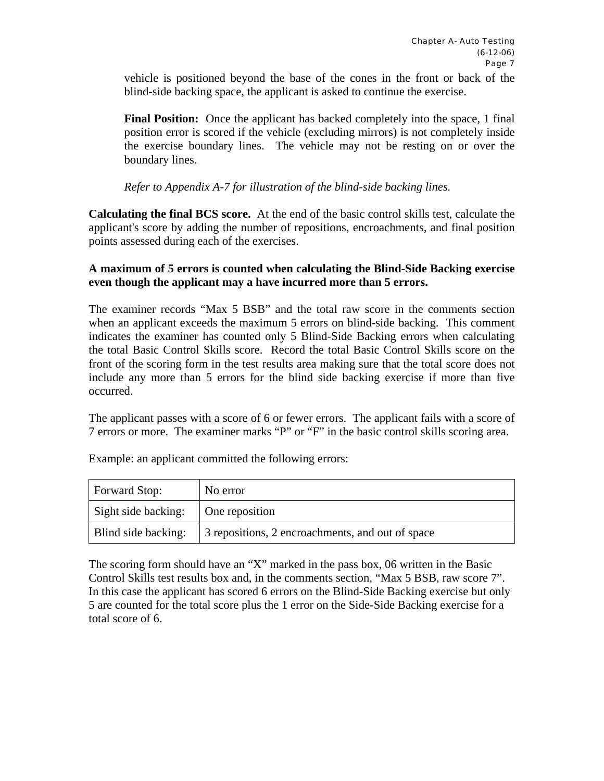vehicle is positioned beyond the base of the cones in the front or back of the blind-side backing space, the applicant is asked to continue the exercise.

**Final Position:** Once the applicant has backed completely into the space, 1 final position error is scored if the vehicle (excluding mirrors) is not completely inside the exercise boundary lines. The vehicle may not be resting on or over the boundary lines.

*Refer to Appendix A-7 for illustration of the blind-side backing lines.* 

**Calculating the final BCS score.** At the end of the basic control skills test, calculate the applicant's score by adding the number of repositions, encroachments, and final position points assessed during each of the exercises.

# **A maximum of 5 errors is counted when calculating the Blind-Side Backing exercise even though the applicant may a have incurred more than 5 errors.**

The examiner records "Max 5 BSB" and the total raw score in the comments section when an applicant exceeds the maximum 5 errors on blind-side backing. This comment indicates the examiner has counted only 5 Blind-Side Backing errors when calculating the total Basic Control Skills score. Record the total Basic Control Skills score on the front of the scoring form in the test results area making sure that the total score does not include any more than 5 errors for the blind side backing exercise if more than five occurred.

The applicant passes with a score of 6 or fewer errors. The applicant fails with a score of 7 errors or more. The examiner marks "P" or "F" in the basic control skills scoring area.

| Forward Stop:       | No error                                         |  |
|---------------------|--------------------------------------------------|--|
| Sight side backing: | One reposition                                   |  |
| Blind side backing: | 3 repositions, 2 encroachments, and out of space |  |

Example: an applicant committed the following errors:

The scoring form should have an "X" marked in the pass box, 06 written in the Basic Control Skills test results box and, in the comments section, "Max 5 BSB, raw score 7". In this case the applicant has scored 6 errors on the Blind-Side Backing exercise but only 5 are counted for the total score plus the 1 error on the Side-Side Backing exercise for a total score of 6.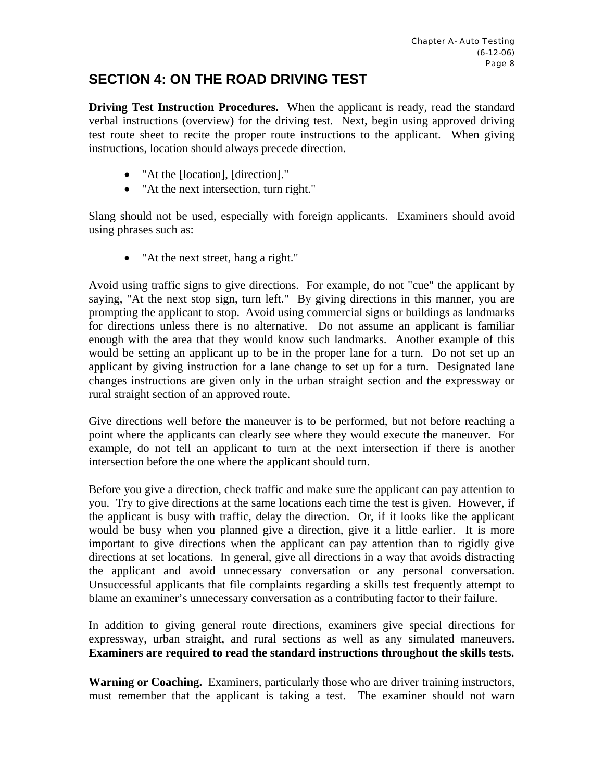# **SECTION 4: ON THE ROAD DRIVING TEST**

**Driving Test Instruction Procedures.** When the applicant is ready, read the standard verbal instructions (overview) for the driving test. Next, begin using approved driving test route sheet to recite the proper route instructions to the applicant. When giving instructions, location should always precede direction.

- "At the [location], [direction]."
- "At the next intersection, turn right."

Slang should not be used, especially with foreign applicants. Examiners should avoid using phrases such as:

• "At the next street, hang a right."

Avoid using traffic signs to give directions. For example, do not "cue" the applicant by saying, "At the next stop sign, turn left." By giving directions in this manner, you are prompting the applicant to stop. Avoid using commercial signs or buildings as landmarks for directions unless there is no alternative. Do not assume an applicant is familiar enough with the area that they would know such landmarks. Another example of this would be setting an applicant up to be in the proper lane for a turn. Do not set up an applicant by giving instruction for a lane change to set up for a turn. Designated lane changes instructions are given only in the urban straight section and the expressway or rural straight section of an approved route.

Give directions well before the maneuver is to be performed, but not before reaching a point where the applicants can clearly see where they would execute the maneuver. For example, do not tell an applicant to turn at the next intersection if there is another intersection before the one where the applicant should turn.

Before you give a direction, check traffic and make sure the applicant can pay attention to you. Try to give directions at the same locations each time the test is given. However, if the applicant is busy with traffic, delay the direction. Or, if it looks like the applicant would be busy when you planned give a direction, give it a little earlier. It is more important to give directions when the applicant can pay attention than to rigidly give directions at set locations. In general, give all directions in a way that avoids distracting the applicant and avoid unnecessary conversation or any personal conversation. Unsuccessful applicants that file complaints regarding a skills test frequently attempt to blame an examiner's unnecessary conversation as a contributing factor to their failure.

In addition to giving general route directions, examiners give special directions for expressway, urban straight, and rural sections as well as any simulated maneuvers. **Examiners are required to read the standard instructions throughout the skills tests.** 

**Warning or Coaching.** Examiners, particularly those who are driver training instructors, must remember that the applicant is taking a test. The examiner should not warn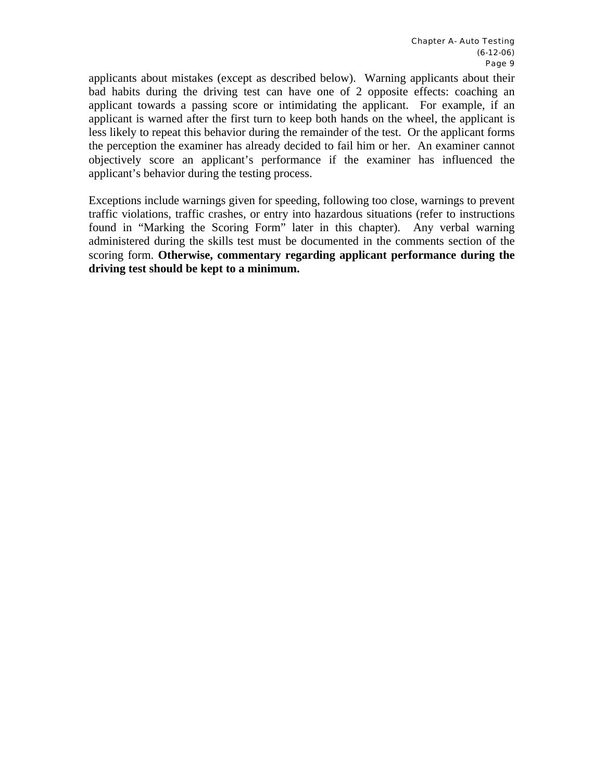applicants about mistakes (except as described below). Warning applicants about their bad habits during the driving test can have one of 2 opposite effects: coaching an applicant towards a passing score or intimidating the applicant. For example, if an applicant is warned after the first turn to keep both hands on the wheel, the applicant is less likely to repeat this behavior during the remainder of the test. Or the applicant forms the perception the examiner has already decided to fail him or her. An examiner cannot objectively score an applicant's performance if the examiner has influenced the applicant's behavior during the testing process.

Exceptions include warnings given for speeding, following too close, warnings to prevent traffic violations, traffic crashes, or entry into hazardous situations (refer to instructions found in "Marking the Scoring Form" later in this chapter). Any verbal warning administered during the skills test must be documented in the comments section of the scoring form. **Otherwise, commentary regarding applicant performance during the driving test should be kept to a minimum.**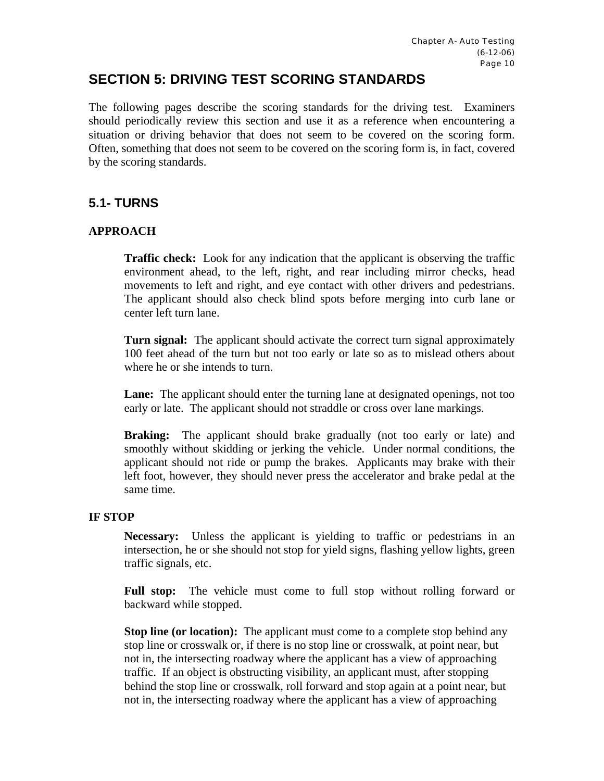# **SECTION 5: DRIVING TEST SCORING STANDARDS**

The following pages describe the scoring standards for the driving test. Examiners should periodically review this section and use it as a reference when encountering a situation or driving behavior that does not seem to be covered on the scoring form. Often, something that does not seem to be covered on the scoring form is, in fact, covered by the scoring standards.

# **5.1- TURNS**

### **APPROACH**

**Traffic check:** Look for any indication that the applicant is observing the traffic environment ahead, to the left, right, and rear including mirror checks, head movements to left and right, and eye contact with other drivers and pedestrians. The applicant should also check blind spots before merging into curb lane or center left turn lane.

**Turn signal:** The applicant should activate the correct turn signal approximately 100 feet ahead of the turn but not too early or late so as to mislead others about where he or she intends to turn.

**Lane:** The applicant should enter the turning lane at designated openings, not too early or late. The applicant should not straddle or cross over lane markings.

**Braking:** The applicant should brake gradually (not too early or late) and smoothly without skidding or jerking the vehicle. Under normal conditions, the applicant should not ride or pump the brakes. Applicants may brake with their left foot, however, they should never press the accelerator and brake pedal at the same time.

### **IF STOP**

**Necessary:** Unless the applicant is yielding to traffic or pedestrians in an intersection, he or she should not stop for yield signs, flashing yellow lights, green traffic signals, etc.

**Full stop:** The vehicle must come to full stop without rolling forward or backward while stopped.

**Stop line (or location):** The applicant must come to a complete stop behind any stop line or crosswalk or, if there is no stop line or crosswalk, at point near, but not in, the intersecting roadway where the applicant has a view of approaching traffic. If an object is obstructing visibility, an applicant must, after stopping behind the stop line or crosswalk, roll forward and stop again at a point near, but not in, the intersecting roadway where the applicant has a view of approaching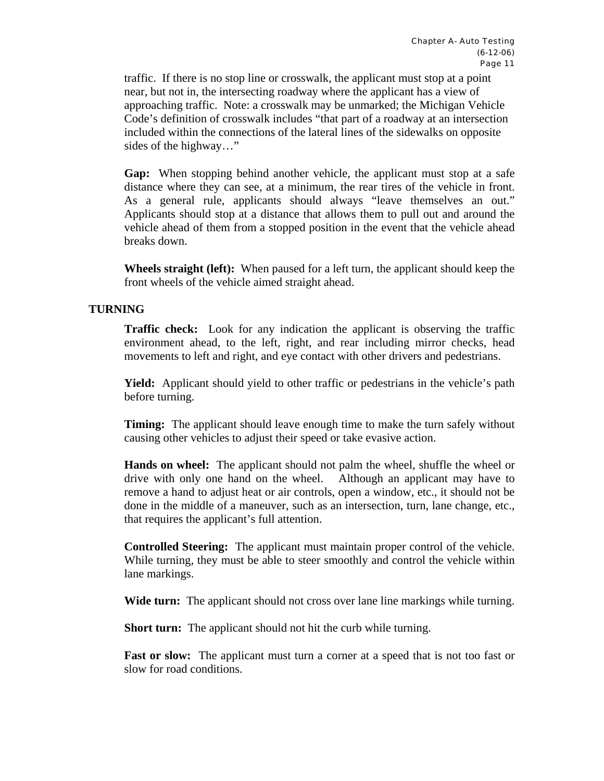traffic. If there is no stop line or crosswalk, the applicant must stop at a point near, but not in, the intersecting roadway where the applicant has a view of approaching traffic. Note: a crosswalk may be unmarked; the Michigan Vehicle Code's definition of crosswalk includes "that part of a roadway at an intersection included within the connections of the lateral lines of the sidewalks on opposite sides of the highway…"

**Gap:** When stopping behind another vehicle, the applicant must stop at a safe distance where they can see, at a minimum, the rear tires of the vehicle in front. As a general rule, applicants should always "leave themselves an out." Applicants should stop at a distance that allows them to pull out and around the vehicle ahead of them from a stopped position in the event that the vehicle ahead breaks down.

**Wheels straight (left):** When paused for a left turn, the applicant should keep the front wheels of the vehicle aimed straight ahead.

### **TURNING**

**Traffic check:** Look for any indication the applicant is observing the traffic environment ahead, to the left, right, and rear including mirror checks, head movements to left and right, and eye contact with other drivers and pedestrians.

**Yield:** Applicant should yield to other traffic or pedestrians in the vehicle's path before turning.

**Timing:** The applicant should leave enough time to make the turn safely without causing other vehicles to adjust their speed or take evasive action.

**Hands on wheel:** The applicant should not palm the wheel, shuffle the wheel or drive with only one hand on the wheel. Although an applicant may have to remove a hand to adjust heat or air controls, open a window, etc., it should not be done in the middle of a maneuver, such as an intersection, turn, lane change, etc., that requires the applicant's full attention.

**Controlled Steering:** The applicant must maintain proper control of the vehicle. While turning, they must be able to steer smoothly and control the vehicle within lane markings.

**Wide turn:** The applicant should not cross over lane line markings while turning.

**Short turn:** The applicant should not hit the curb while turning.

**Fast or slow:** The applicant must turn a corner at a speed that is not too fast or slow for road conditions.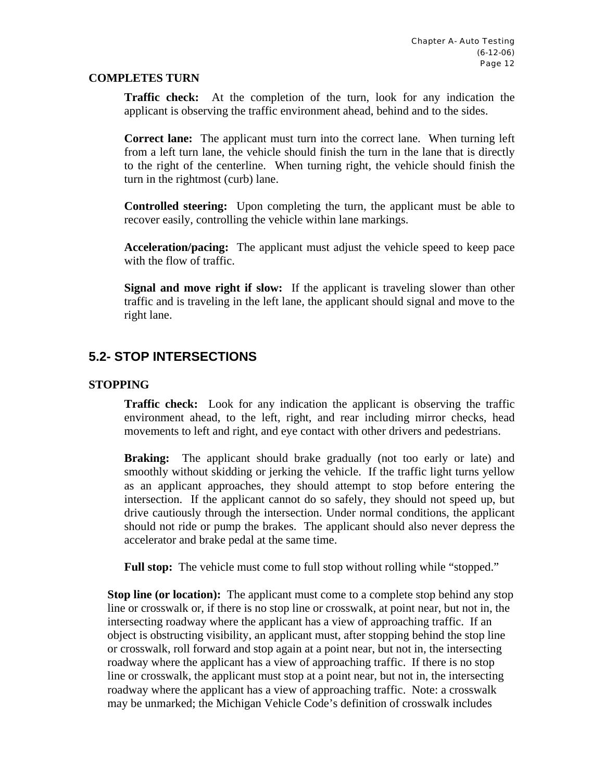#### **COMPLETES TURN**

**Traffic check:** At the completion of the turn, look for any indication the applicant is observing the traffic environment ahead, behind and to the sides.

**Correct lane:** The applicant must turn into the correct lane. When turning left from a left turn lane, the vehicle should finish the turn in the lane that is directly to the right of the centerline. When turning right, the vehicle should finish the turn in the rightmost (curb) lane.

**Controlled steering:** Upon completing the turn, the applicant must be able to recover easily, controlling the vehicle within lane markings.

**Acceleration/pacing:** The applicant must adjust the vehicle speed to keep pace with the flow of traffic.

**Signal and move right if slow:** If the applicant is traveling slower than other traffic and is traveling in the left lane, the applicant should signal and move to the right lane.

# **5.2- STOP INTERSECTIONS**

# **STOPPING**

**Traffic check:** Look for any indication the applicant is observing the traffic environment ahead, to the left, right, and rear including mirror checks, head movements to left and right, and eye contact with other drivers and pedestrians.

**Braking:** The applicant should brake gradually (not too early or late) and smoothly without skidding or jerking the vehicle. If the traffic light turns yellow as an applicant approaches, they should attempt to stop before entering the intersection. If the applicant cannot do so safely, they should not speed up, but drive cautiously through the intersection. Under normal conditions, the applicant should not ride or pump the brakes. The applicant should also never depress the accelerator and brake pedal at the same time.

**Full stop:** The vehicle must come to full stop without rolling while "stopped."

**Stop line (or location):** The applicant must come to a complete stop behind any stop line or crosswalk or, if there is no stop line or crosswalk, at point near, but not in, the intersecting roadway where the applicant has a view of approaching traffic. If an object is obstructing visibility, an applicant must, after stopping behind the stop line or crosswalk, roll forward and stop again at a point near, but not in, the intersecting roadway where the applicant has a view of approaching traffic. If there is no stop line or crosswalk, the applicant must stop at a point near, but not in, the intersecting roadway where the applicant has a view of approaching traffic. Note: a crosswalk may be unmarked; the Michigan Vehicle Code's definition of crosswalk includes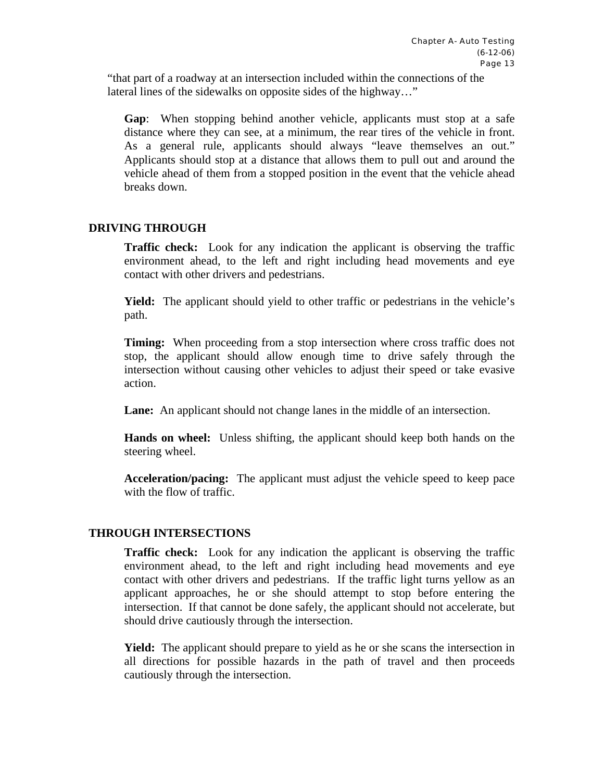"that part of a roadway at an intersection included within the connections of the lateral lines of the sidewalks on opposite sides of the highway…"

**Gap**: When stopping behind another vehicle, applicants must stop at a safe distance where they can see, at a minimum, the rear tires of the vehicle in front. As a general rule, applicants should always "leave themselves an out." Applicants should stop at a distance that allows them to pull out and around the vehicle ahead of them from a stopped position in the event that the vehicle ahead breaks down.

### **DRIVING THROUGH**

**Traffic check:** Look for any indication the applicant is observing the traffic environment ahead, to the left and right including head movements and eye contact with other drivers and pedestrians.

**Yield:** The applicant should yield to other traffic or pedestrians in the vehicle's path.

**Timing:** When proceeding from a stop intersection where cross traffic does not stop, the applicant should allow enough time to drive safely through the intersection without causing other vehicles to adjust their speed or take evasive action.

**Lane:** An applicant should not change lanes in the middle of an intersection.

**Hands on wheel:** Unless shifting, the applicant should keep both hands on the steering wheel.

**Acceleration/pacing:** The applicant must adjust the vehicle speed to keep pace with the flow of traffic.

### **THROUGH INTERSECTIONS**

**Traffic check:** Look for any indication the applicant is observing the traffic environment ahead, to the left and right including head movements and eye contact with other drivers and pedestrians. If the traffic light turns yellow as an applicant approaches, he or she should attempt to stop before entering the intersection. If that cannot be done safely, the applicant should not accelerate, but should drive cautiously through the intersection.

**Yield:** The applicant should prepare to yield as he or she scans the intersection in all directions for possible hazards in the path of travel and then proceeds cautiously through the intersection.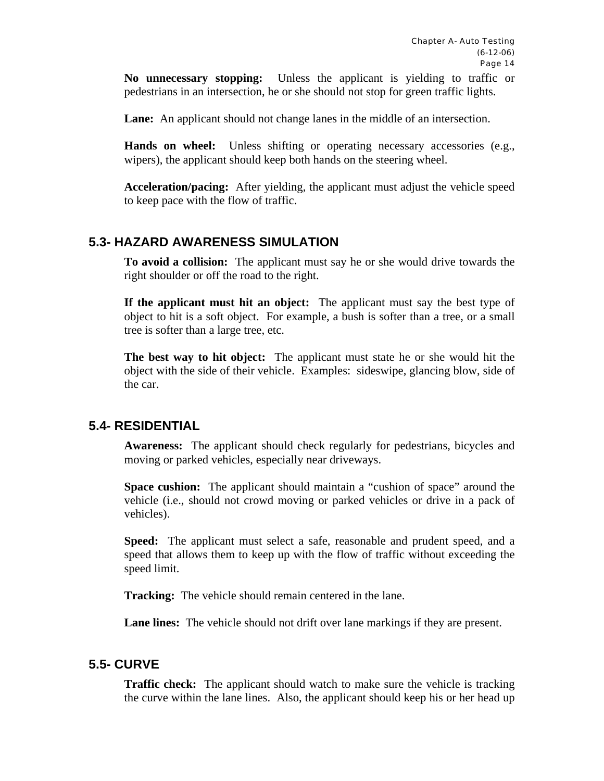**No unnecessary stopping:** Unless the applicant is yielding to traffic or pedestrians in an intersection, he or she should not stop for green traffic lights.

**Lane:** An applicant should not change lanes in the middle of an intersection.

**Hands on wheel:** Unless shifting or operating necessary accessories (e.g., wipers), the applicant should keep both hands on the steering wheel.

**Acceleration/pacing:** After yielding, the applicant must adjust the vehicle speed to keep pace with the flow of traffic.

# **5.3- HAZARD AWARENESS SIMULATION**

**To avoid a collision:** The applicant must say he or she would drive towards the right shoulder or off the road to the right.

**If the applicant must hit an object:** The applicant must say the best type of object to hit is a soft object. For example, a bush is softer than a tree, or a small tree is softer than a large tree, etc.

**The best way to hit object:** The applicant must state he or she would hit the object with the side of their vehicle. Examples: sideswipe, glancing blow, side of the car.

# **5.4- RESIDENTIAL**

**Awareness:** The applicant should check regularly for pedestrians, bicycles and moving or parked vehicles, especially near driveways.

**Space cushion:** The applicant should maintain a "cushion of space" around the vehicle (i.e., should not crowd moving or parked vehicles or drive in a pack of vehicles).

**Speed:** The applicant must select a safe, reasonable and prudent speed, and a speed that allows them to keep up with the flow of traffic without exceeding the speed limit.

**Tracking:** The vehicle should remain centered in the lane.

**Lane lines:** The vehicle should not drift over lane markings if they are present.

# **5.5- CURVE**

**Traffic check:** The applicant should watch to make sure the vehicle is tracking the curve within the lane lines. Also, the applicant should keep his or her head up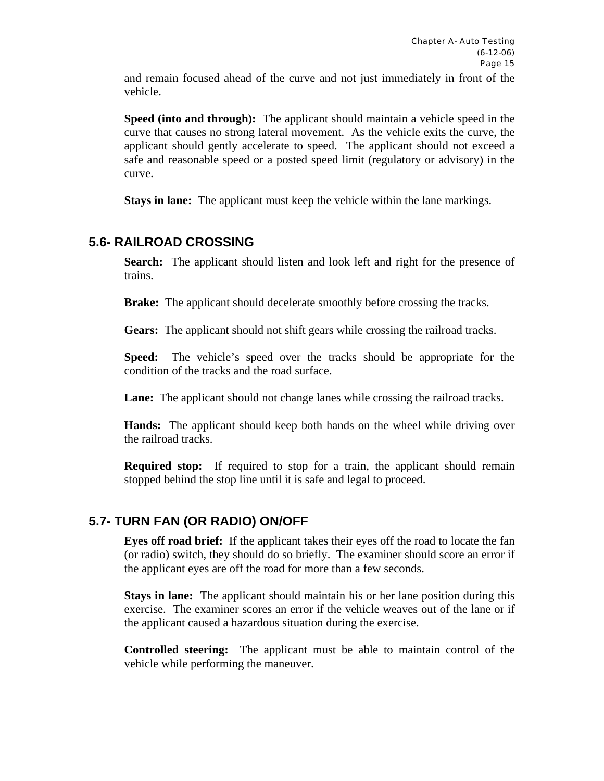and remain focused ahead of the curve and not just immediately in front of the vehicle.

**Speed (into and through):** The applicant should maintain a vehicle speed in the curve that causes no strong lateral movement. As the vehicle exits the curve, the applicant should gently accelerate to speed. The applicant should not exceed a safe and reasonable speed or a posted speed limit (regulatory or advisory) in the curve.

**Stays in lane:** The applicant must keep the vehicle within the lane markings.

# **5.6- RAILROAD CROSSING**

**Search:** The applicant should listen and look left and right for the presence of trains.

**Brake:** The applicant should decelerate smoothly before crossing the tracks.

**Gears:** The applicant should not shift gears while crossing the railroad tracks.

**Speed:** The vehicle's speed over the tracks should be appropriate for the condition of the tracks and the road surface.

**Lane:** The applicant should not change lanes while crossing the railroad tracks.

**Hands:** The applicant should keep both hands on the wheel while driving over the railroad tracks.

**Required stop:** If required to stop for a train, the applicant should remain stopped behind the stop line until it is safe and legal to proceed.

# **5.7- TURN FAN (OR RADIO) ON/OFF**

**Eyes off road brief:** If the applicant takes their eyes off the road to locate the fan (or radio) switch, they should do so briefly. The examiner should score an error if the applicant eyes are off the road for more than a few seconds.

**Stays in lane:** The applicant should maintain his or her lane position during this exercise. The examiner scores an error if the vehicle weaves out of the lane or if the applicant caused a hazardous situation during the exercise.

**Controlled steering:** The applicant must be able to maintain control of the vehicle while performing the maneuver.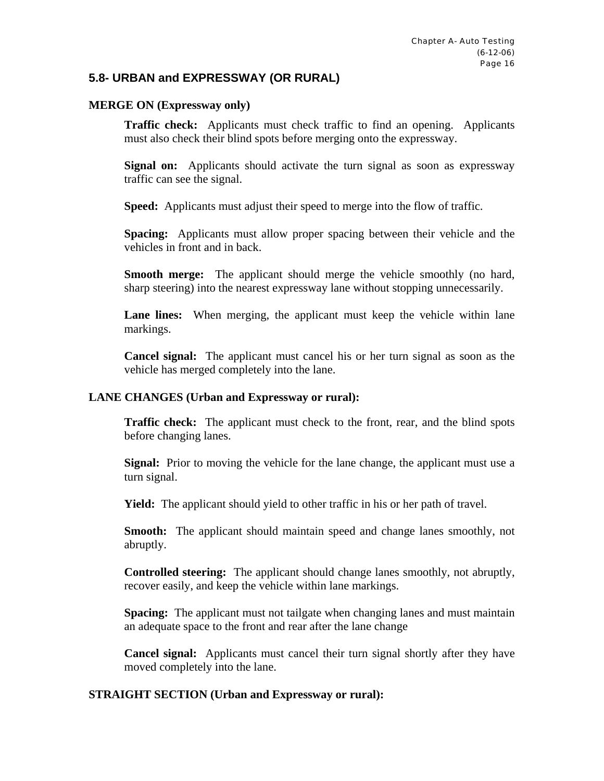### **5.8- URBAN and EXPRESSWAY (OR RURAL)**

#### **MERGE ON (Expressway only)**

**Traffic check:** Applicants must check traffic to find an opening. Applicants must also check their blind spots before merging onto the expressway.

**Signal on:** Applicants should activate the turn signal as soon as expressway traffic can see the signal.

**Speed:** Applicants must adjust their speed to merge into the flow of traffic.

**Spacing:** Applicants must allow proper spacing between their vehicle and the vehicles in front and in back.

**Smooth merge:** The applicant should merge the vehicle smoothly (no hard, sharp steering) into the nearest expressway lane without stopping unnecessarily.

Lane lines: When merging, the applicant must keep the vehicle within lane markings.

**Cancel signal:** The applicant must cancel his or her turn signal as soon as the vehicle has merged completely into the lane.

### **LANE CHANGES (Urban and Expressway or rural):**

**Traffic check:** The applicant must check to the front, rear, and the blind spots before changing lanes.

**Signal:** Prior to moving the vehicle for the lane change, the applicant must use a turn signal.

**Yield:** The applicant should yield to other traffic in his or her path of travel.

**Smooth:** The applicant should maintain speed and change lanes smoothly, not abruptly.

**Controlled steering:** The applicant should change lanes smoothly, not abruptly, recover easily, and keep the vehicle within lane markings.

**Spacing:** The applicant must not tailgate when changing lanes and must maintain an adequate space to the front and rear after the lane change

**Cancel signal:** Applicants must cancel their turn signal shortly after they have moved completely into the lane.

### **STRAIGHT SECTION (Urban and Expressway or rural):**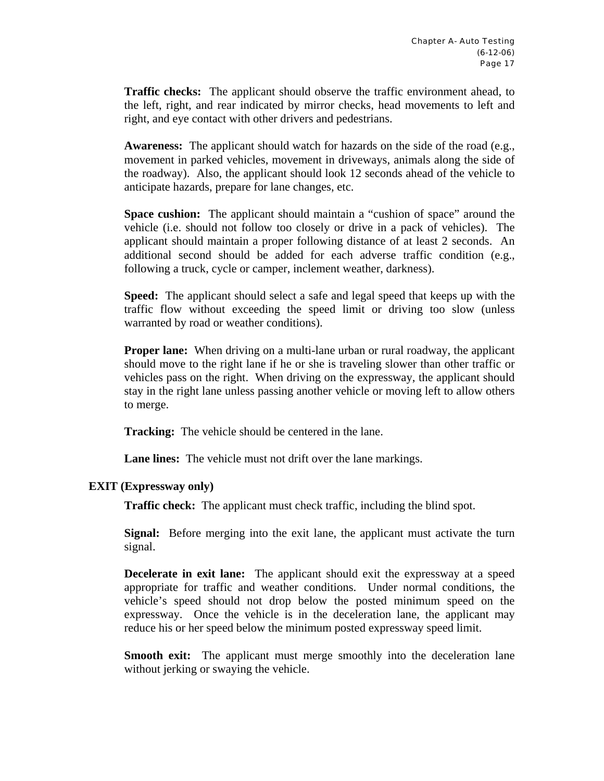**Traffic checks:** The applicant should observe the traffic environment ahead, to the left, right, and rear indicated by mirror checks, head movements to left and right, and eye contact with other drivers and pedestrians.

**Awareness:** The applicant should watch for hazards on the side of the road (e.g., movement in parked vehicles, movement in driveways, animals along the side of the roadway). Also, the applicant should look 12 seconds ahead of the vehicle to anticipate hazards, prepare for lane changes, etc.

**Space cushion:** The applicant should maintain a "cushion of space" around the vehicle (i.e. should not follow too closely or drive in a pack of vehicles). The applicant should maintain a proper following distance of at least 2 seconds. An additional second should be added for each adverse traffic condition (e.g., following a truck, cycle or camper, inclement weather, darkness).

**Speed:** The applicant should select a safe and legal speed that keeps up with the traffic flow without exceeding the speed limit or driving too slow (unless warranted by road or weather conditions).

**Proper lane:** When driving on a multi-lane urban or rural roadway, the applicant should move to the right lane if he or she is traveling slower than other traffic or vehicles pass on the right. When driving on the expressway, the applicant should stay in the right lane unless passing another vehicle or moving left to allow others to merge.

**Tracking:** The vehicle should be centered in the lane.

**Lane lines:** The vehicle must not drift over the lane markings.

### **EXIT (Expressway only)**

**Traffic check:** The applicant must check traffic, including the blind spot.

**Signal:** Before merging into the exit lane, the applicant must activate the turn signal.

**Decelerate in exit lane:** The applicant should exit the expressway at a speed appropriate for traffic and weather conditions. Under normal conditions, the vehicle's speed should not drop below the posted minimum speed on the expressway. Once the vehicle is in the deceleration lane, the applicant may reduce his or her speed below the minimum posted expressway speed limit.

**Smooth exit:** The applicant must merge smoothly into the deceleration lane without jerking or swaying the vehicle.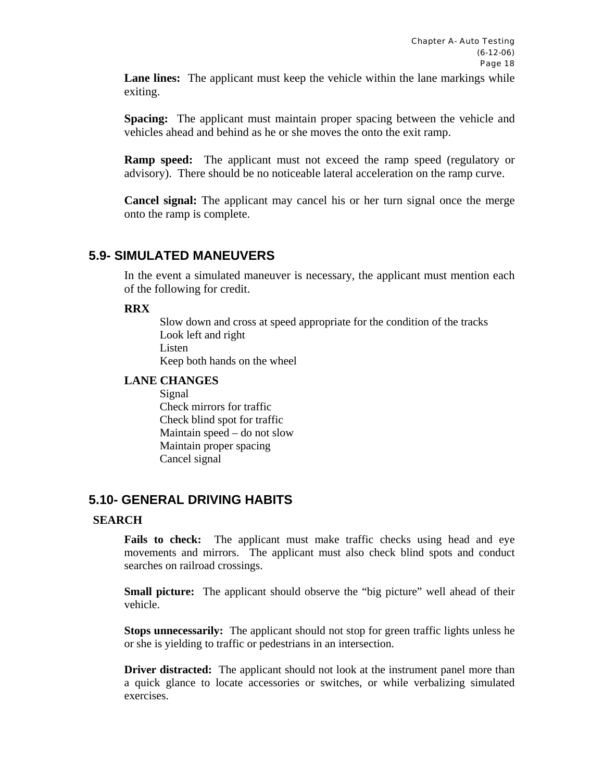Lane lines: The applicant must keep the vehicle within the lane markings while exiting.

**Spacing:** The applicant must maintain proper spacing between the vehicle and vehicles ahead and behind as he or she moves the onto the exit ramp.

**Ramp speed:** The applicant must not exceed the ramp speed (regulatory or advisory). There should be no noticeable lateral acceleration on the ramp curve.

**Cancel signal:** The applicant may cancel his or her turn signal once the merge onto the ramp is complete.

# **5.9- SIMULATED MANEUVERS**

In the event a simulated maneuver is necessary, the applicant must mention each of the following for credit.

### **RRX**

Slow down and cross at speed appropriate for the condition of the tracks Look left and right Listen Keep both hands on the wheel

#### **LANE CHANGES**

Signal Check mirrors for traffic Check blind spot for traffic Maintain speed – do not slow Maintain proper spacing Cancel signal

# **5.10- GENERAL DRIVING HABITS**

### **SEARCH**

**Fails to check:** The applicant must make traffic checks using head and eye movements and mirrors. The applicant must also check blind spots and conduct searches on railroad crossings.

**Small picture:** The applicant should observe the "big picture" well ahead of their vehicle.

**Stops unnecessarily:** The applicant should not stop for green traffic lights unless he or she is yielding to traffic or pedestrians in an intersection.

**Driver distracted:** The applicant should not look at the instrument panel more than a quick glance to locate accessories or switches, or while verbalizing simulated exercises.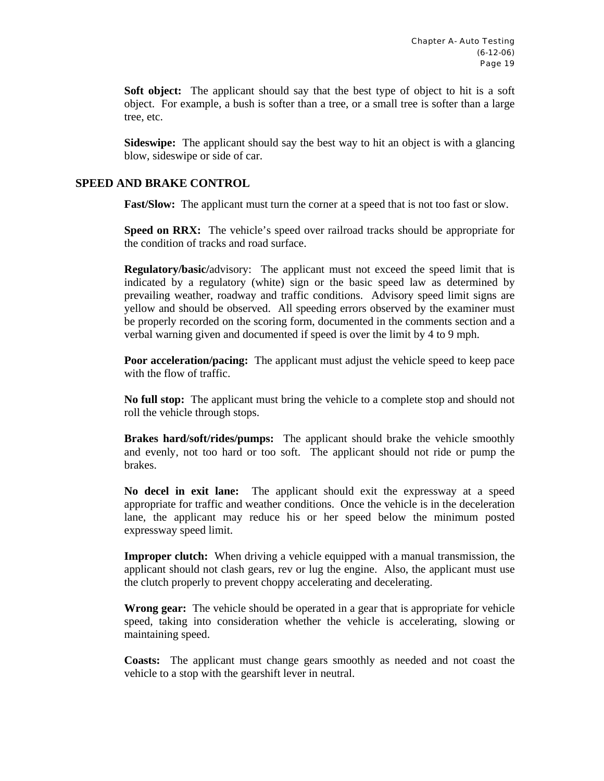**Soft object:** The applicant should say that the best type of object to hit is a soft object. For example, a bush is softer than a tree, or a small tree is softer than a large tree, etc.

**Sideswipe:** The applicant should say the best way to hit an object is with a glancing blow, sideswipe or side of car.

#### **SPEED AND BRAKE CONTROL**

**Fast/Slow:** The applicant must turn the corner at a speed that is not too fast or slow.

**Speed on RRX:** The vehicle's speed over railroad tracks should be appropriate for the condition of tracks and road surface.

**Regulatory/basic/**advisory: The applicant must not exceed the speed limit that is indicated by a regulatory (white) sign or the basic speed law as determined by prevailing weather, roadway and traffic conditions. Advisory speed limit signs are yellow and should be observed. All speeding errors observed by the examiner must be properly recorded on the scoring form, documented in the comments section and a verbal warning given and documented if speed is over the limit by 4 to 9 mph.

**Poor acceleration/pacing:** The applicant must adjust the vehicle speed to keep pace with the flow of traffic.

**No full stop:** The applicant must bring the vehicle to a complete stop and should not roll the vehicle through stops.

**Brakes hard/soft/rides/pumps:** The applicant should brake the vehicle smoothly and evenly, not too hard or too soft. The applicant should not ride or pump the brakes.

**No decel in exit lane:** The applicant should exit the expressway at a speed appropriate for traffic and weather conditions. Once the vehicle is in the deceleration lane, the applicant may reduce his or her speed below the minimum posted expressway speed limit.

**Improper clutch:** When driving a vehicle equipped with a manual transmission, the applicant should not clash gears, rev or lug the engine. Also, the applicant must use the clutch properly to prevent choppy accelerating and decelerating.

**Wrong gear:** The vehicle should be operated in a gear that is appropriate for vehicle speed, taking into consideration whether the vehicle is accelerating, slowing or maintaining speed.

**Coasts:** The applicant must change gears smoothly as needed and not coast the vehicle to a stop with the gearshift lever in neutral.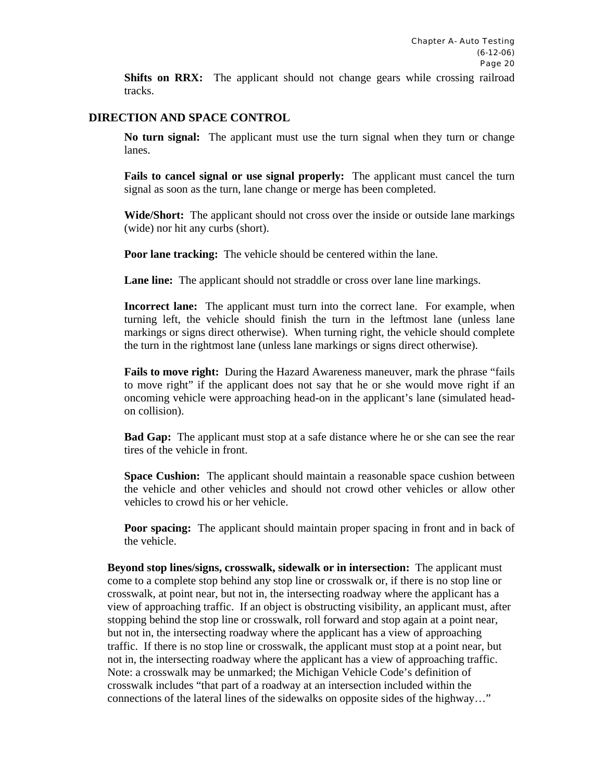**Shifts on RRX:** The applicant should not change gears while crossing railroad tracks.

#### **DIRECTION AND SPACE CONTROL**

**No turn signal:** The applicant must use the turn signal when they turn or change lanes.

**Fails to cancel signal or use signal properly:** The applicant must cancel the turn signal as soon as the turn, lane change or merge has been completed.

**Wide/Short:** The applicant should not cross over the inside or outside lane markings (wide) nor hit any curbs (short).

**Poor lane tracking:** The vehicle should be centered within the lane.

Lane line: The applicant should not straddle or cross over lane line markings.

**Incorrect lane:** The applicant must turn into the correct lane. For example, when turning left, the vehicle should finish the turn in the leftmost lane (unless lane markings or signs direct otherwise). When turning right, the vehicle should complete the turn in the rightmost lane (unless lane markings or signs direct otherwise).

**Fails to move right:** During the Hazard Awareness maneuver, mark the phrase "fails to move right" if the applicant does not say that he or she would move right if an oncoming vehicle were approaching head-on in the applicant's lane (simulated headon collision).

**Bad Gap:** The applicant must stop at a safe distance where he or she can see the rear tires of the vehicle in front.

**Space Cushion:** The applicant should maintain a reasonable space cushion between the vehicle and other vehicles and should not crowd other vehicles or allow other vehicles to crowd his or her vehicle.

**Poor spacing:** The applicant should maintain proper spacing in front and in back of the vehicle.

**Beyond stop lines/signs, crosswalk, sidewalk or in intersection:** The applicant must come to a complete stop behind any stop line or crosswalk or, if there is no stop line or crosswalk, at point near, but not in, the intersecting roadway where the applicant has a view of approaching traffic. If an object is obstructing visibility, an applicant must, after stopping behind the stop line or crosswalk, roll forward and stop again at a point near, but not in, the intersecting roadway where the applicant has a view of approaching traffic. If there is no stop line or crosswalk, the applicant must stop at a point near, but not in, the intersecting roadway where the applicant has a view of approaching traffic. Note: a crosswalk may be unmarked; the Michigan Vehicle Code's definition of crosswalk includes "that part of a roadway at an intersection included within the connections of the lateral lines of the sidewalks on opposite sides of the highway…"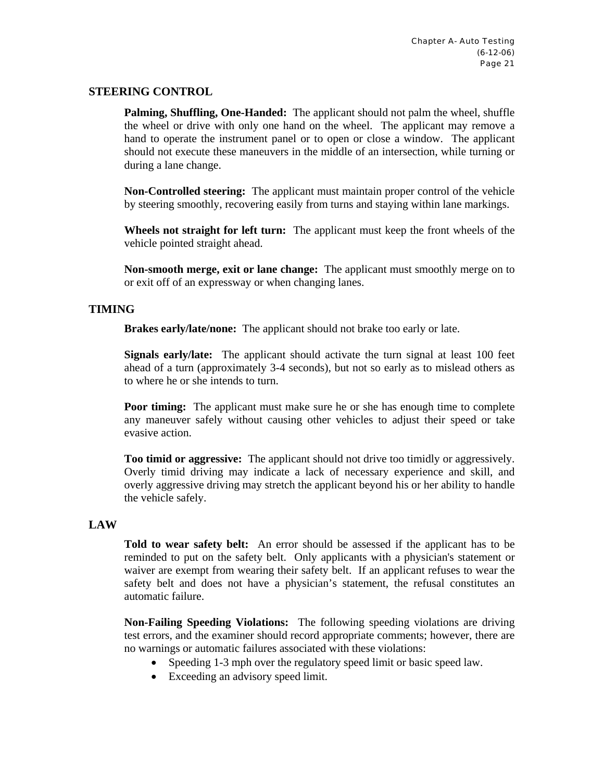#### **STEERING CONTROL**

**Palming, Shuffling, One-Handed:** The applicant should not palm the wheel, shuffle the wheel or drive with only one hand on the wheel. The applicant may remove a hand to operate the instrument panel or to open or close a window. The applicant should not execute these maneuvers in the middle of an intersection, while turning or during a lane change.

**Non-Controlled steering:** The applicant must maintain proper control of the vehicle by steering smoothly, recovering easily from turns and staying within lane markings.

**Wheels not straight for left turn:** The applicant must keep the front wheels of the vehicle pointed straight ahead.

**Non-smooth merge, exit or lane change:** The applicant must smoothly merge on to or exit off of an expressway or when changing lanes.

### **TIMING**

**Brakes early/late/none:** The applicant should not brake too early or late.

**Signals early/late:** The applicant should activate the turn signal at least 100 feet ahead of a turn (approximately 3-4 seconds), but not so early as to mislead others as to where he or she intends to turn.

**Poor timing:** The applicant must make sure he or she has enough time to complete any maneuver safely without causing other vehicles to adjust their speed or take evasive action.

**Too timid or aggressive:** The applicant should not drive too timidly or aggressively. Overly timid driving may indicate a lack of necessary experience and skill, and overly aggressive driving may stretch the applicant beyond his or her ability to handle the vehicle safely.

### **LAW**

**Told to wear safety belt:** An error should be assessed if the applicant has to be reminded to put on the safety belt. Only applicants with a physician's statement or waiver are exempt from wearing their safety belt. If an applicant refuses to wear the safety belt and does not have a physician's statement, the refusal constitutes an automatic failure.

**Non-Failing Speeding Violations:** The following speeding violations are driving test errors, and the examiner should record appropriate comments; however, there are no warnings or automatic failures associated with these violations:

- Speeding 1-3 mph over the regulatory speed limit or basic speed law.
- Exceeding an advisory speed limit.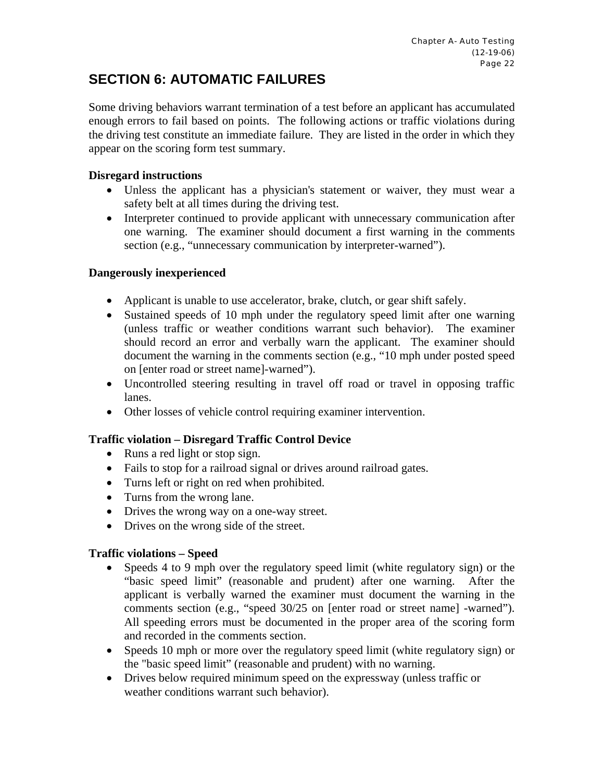# **SECTION 6: AUTOMATIC FAILURES**

Some driving behaviors warrant termination of a test before an applicant has accumulated enough errors to fail based on points. The following actions or traffic violations during the driving test constitute an immediate failure. They are listed in the order in which they appear on the scoring form test summary.

# **Disregard instructions**

- Unless the applicant has a physician's statement or waiver, they must wear a safety belt at all times during the driving test.
- Interpreter continued to provide applicant with unnecessary communication after one warning. The examiner should document a first warning in the comments section (e.g., "unnecessary communication by interpreter-warned").

# **Dangerously inexperienced**

- Applicant is unable to use accelerator, brake, clutch, or gear shift safely.
- Sustained speeds of 10 mph under the regulatory speed limit after one warning (unless traffic or weather conditions warrant such behavior). The examiner should record an error and verbally warn the applicant. The examiner should document the warning in the comments section (e.g., "10 mph under posted speed on [enter road or street name]-warned").
- Uncontrolled steering resulting in travel off road or travel in opposing traffic lanes.
- Other losses of vehicle control requiring examiner intervention.

# **Traffic violation – Disregard Traffic Control Device**

- Runs a red light or stop sign.
- Fails to stop for a railroad signal or drives around railroad gates.
- Turns left or right on red when prohibited.
- Turns from the wrong lane.
- Drives the wrong way on a one-way street.
- Drives on the wrong side of the street.

# **Traffic violations – Speed**

- Speeds 4 to 9 mph over the regulatory speed limit (white regulatory sign) or the "basic speed limit" (reasonable and prudent) after one warning. After the applicant is verbally warned the examiner must document the warning in the comments section (e.g., "speed 30/25 on [enter road or street name] -warned"). All speeding errors must be documented in the proper area of the scoring form and recorded in the comments section.
- Speeds 10 mph or more over the regulatory speed limit (white regulatory sign) or the "basic speed limit" (reasonable and prudent) with no warning.
- Drives below required minimum speed on the expressway (unless traffic or weather conditions warrant such behavior).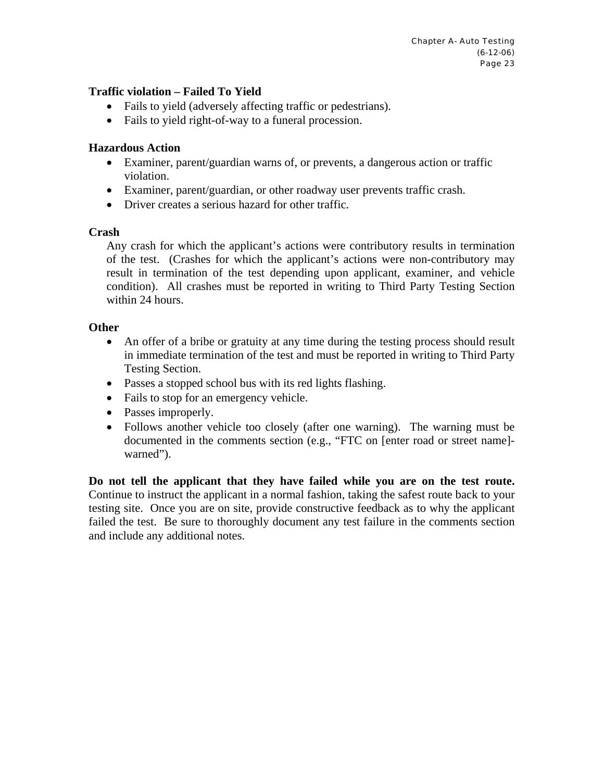### **Traffic violation – Failed To Yield**

- Fails to yield (adversely affecting traffic or pedestrians).
- Fails to yield right-of-way to a funeral procession.

### **Hazardous Action**

- Examiner, parent/guardian warns of, or prevents, a dangerous action or traffic violation.
- Examiner, parent/guardian, or other roadway user prevents traffic crash.
- Driver creates a serious hazard for other traffic.

#### **Crash**

Any crash for which the applicant's actions were contributory results in termination of the test. (Crashes for which the applicant's actions were non-contributory may result in termination of the test depending upon applicant, examiner, and vehicle condition). All crashes must be reported in writing to Third Party Testing Section within 24 hours.

#### **Other**

- An offer of a bribe or gratuity at any time during the testing process should result in immediate termination of the test and must be reported in writing to Third Party Testing Section.
- Passes a stopped school bus with its red lights flashing.
- Fails to stop for an emergency vehicle.
- Passes improperly.
- Follows another vehicle too closely (after one warning). The warning must be documented in the comments section (e.g., "FTC on [enter road or street name] warned").

**Do not tell the applicant that they have failed while you are on the test route.** Continue to instruct the applicant in a normal fashion, taking the safest route back to your testing site. Once you are on site, provide constructive feedback as to why the applicant failed the test. Be sure to thoroughly document any test failure in the comments section and include any additional notes.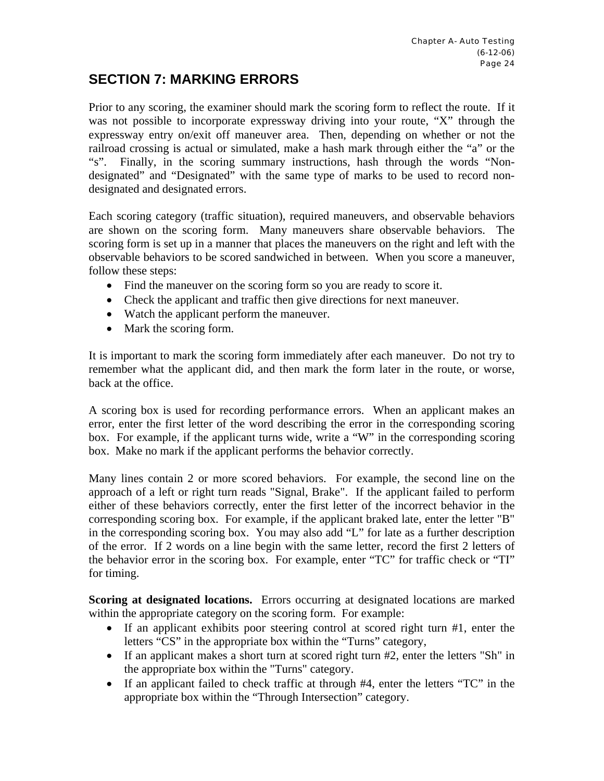# **SECTION 7: MARKING ERRORS**

Prior to any scoring, the examiner should mark the scoring form to reflect the route. If it was not possible to incorporate expressway driving into your route, "X" through the expressway entry on/exit off maneuver area. Then, depending on whether or not the railroad crossing is actual or simulated, make a hash mark through either the "a" or the "s". Finally, in the scoring summary instructions, hash through the words "Nondesignated" and "Designated" with the same type of marks to be used to record nondesignated and designated errors.

Each scoring category (traffic situation), required maneuvers, and observable behaviors are shown on the scoring form. Many maneuvers share observable behaviors. The scoring form is set up in a manner that places the maneuvers on the right and left with the observable behaviors to be scored sandwiched in between. When you score a maneuver, follow these steps:

- Find the maneuver on the scoring form so you are ready to score it.
- Check the applicant and traffic then give directions for next maneuver.
- Watch the applicant perform the maneuver.
- Mark the scoring form.

It is important to mark the scoring form immediately after each maneuver. Do not try to remember what the applicant did, and then mark the form later in the route, or worse, back at the office.

A scoring box is used for recording performance errors. When an applicant makes an error, enter the first letter of the word describing the error in the corresponding scoring box. For example, if the applicant turns wide, write a "W" in the corresponding scoring box. Make no mark if the applicant performs the behavior correctly.

Many lines contain 2 or more scored behaviors. For example, the second line on the approach of a left or right turn reads "Signal, Brake". If the applicant failed to perform either of these behaviors correctly, enter the first letter of the incorrect behavior in the corresponding scoring box. For example, if the applicant braked late, enter the letter "B" in the corresponding scoring box. You may also add "L" for late as a further description of the error. If 2 words on a line begin with the same letter, record the first 2 letters of the behavior error in the scoring box. For example, enter "TC" for traffic check or "TI" for timing.

**Scoring at designated locations.** Errors occurring at designated locations are marked within the appropriate category on the scoring form. For example:

- If an applicant exhibits poor steering control at scored right turn #1, enter the letters "CS" in the appropriate box within the "Turns" category,
- If an applicant makes a short turn at scored right turn #2, enter the letters "Sh" in the appropriate box within the "Turns" category.
- If an applicant failed to check traffic at through #4, enter the letters "TC" in the appropriate box within the "Through Intersection" category.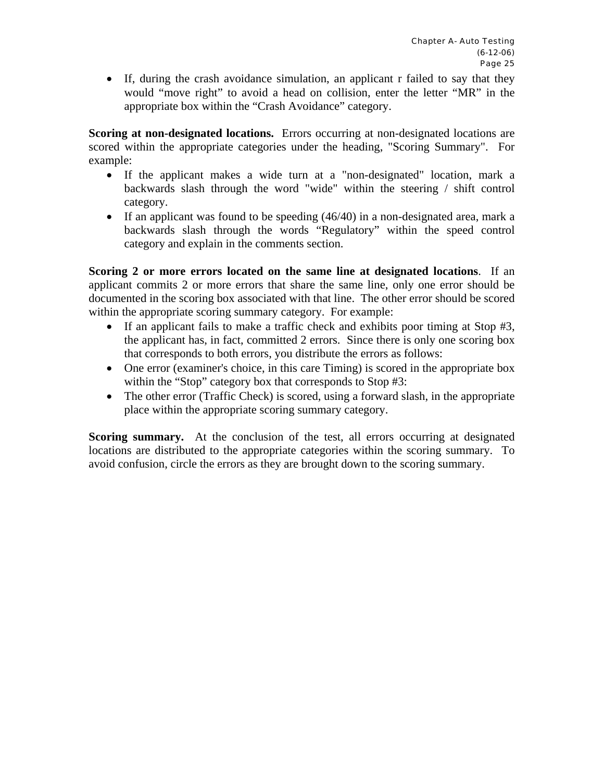• If, during the crash avoidance simulation, an applicant r failed to say that they would "move right" to avoid a head on collision, enter the letter "MR" in the appropriate box within the "Crash Avoidance" category.

**Scoring at non-designated locations.** Errors occurring at non-designated locations are scored within the appropriate categories under the heading, "Scoring Summary". For example:

- If the applicant makes a wide turn at a "non-designated" location, mark a backwards slash through the word "wide" within the steering / shift control category.
- If an applicant was found to be speeding (46/40) in a non-designated area, mark a backwards slash through the words "Regulatory" within the speed control category and explain in the comments section.

**Scoring 2 or more errors located on the same line at designated locations**. If an applicant commits 2 or more errors that share the same line, only one error should be documented in the scoring box associated with that line. The other error should be scored within the appropriate scoring summary category. For example:

- If an applicant fails to make a traffic check and exhibits poor timing at Stop #3, the applicant has, in fact, committed 2 errors. Since there is only one scoring box that corresponds to both errors, you distribute the errors as follows:
- One error (examiner's choice, in this care Timing) is scored in the appropriate box within the "Stop" category box that corresponds to Stop #3:
- The other error (Traffic Check) is scored, using a forward slash, in the appropriate place within the appropriate scoring summary category.

**Scoring summary.** At the conclusion of the test, all errors occurring at designated locations are distributed to the appropriate categories within the scoring summary. To avoid confusion, circle the errors as they are brought down to the scoring summary.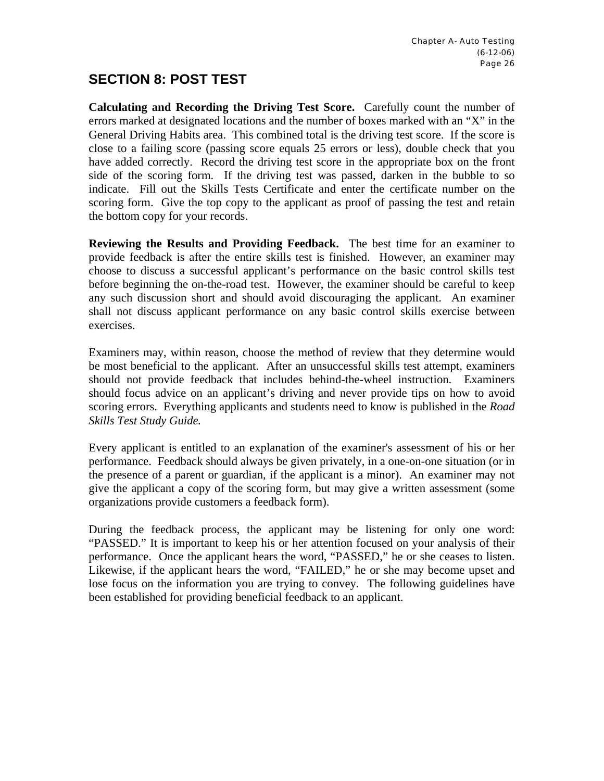# **SECTION 8: POST TEST**

**Calculating and Recording the Driving Test Score.** Carefully count the number of errors marked at designated locations and the number of boxes marked with an "X" in the General Driving Habits area. This combined total is the driving test score. If the score is close to a failing score (passing score equals 25 errors or less), double check that you have added correctly. Record the driving test score in the appropriate box on the front side of the scoring form. If the driving test was passed, darken in the bubble to so indicate. Fill out the Skills Tests Certificate and enter the certificate number on the scoring form. Give the top copy to the applicant as proof of passing the test and retain the bottom copy for your records.

**Reviewing the Results and Providing Feedback.** The best time for an examiner to provide feedback is after the entire skills test is finished. However, an examiner may choose to discuss a successful applicant's performance on the basic control skills test before beginning the on-the-road test. However, the examiner should be careful to keep any such discussion short and should avoid discouraging the applicant. An examiner shall not discuss applicant performance on any basic control skills exercise between exercises.

Examiners may, within reason, choose the method of review that they determine would be most beneficial to the applicant. After an unsuccessful skills test attempt, examiners should not provide feedback that includes behind-the-wheel instruction. Examiners should focus advice on an applicant's driving and never provide tips on how to avoid scoring errors. Everything applicants and students need to know is published in the *Road Skills Test Study Guide.* 

Every applicant is entitled to an explanation of the examiner's assessment of his or her performance. Feedback should always be given privately, in a one-on-one situation (or in the presence of a parent or guardian, if the applicant is a minor). An examiner may not give the applicant a copy of the scoring form, but may give a written assessment (some organizations provide customers a feedback form).

During the feedback process, the applicant may be listening for only one word: "PASSED." It is important to keep his or her attention focused on your analysis of their performance. Once the applicant hears the word, "PASSED," he or she ceases to listen. Likewise, if the applicant hears the word, "FAILED," he or she may become upset and lose focus on the information you are trying to convey. The following guidelines have been established for providing beneficial feedback to an applicant.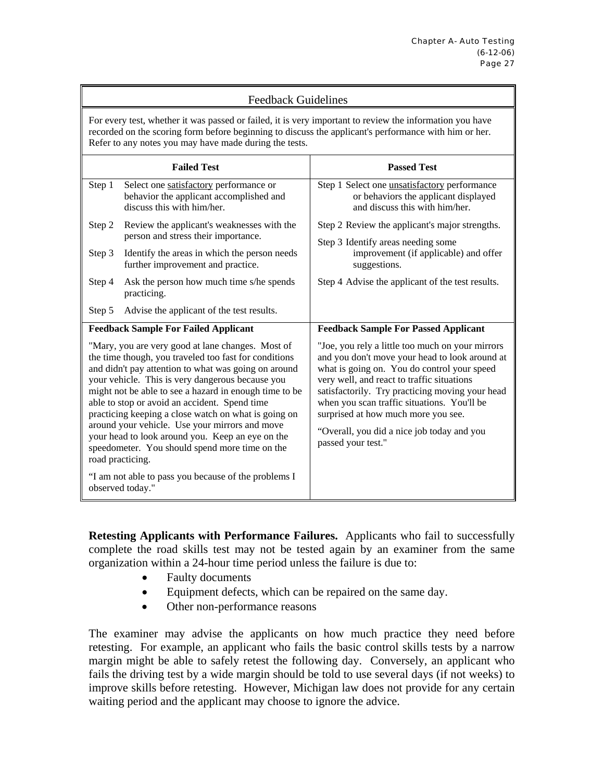| <b>Feedback Guidelines</b>                                                                                                                                                                                                                                                                                                                                                                                                                                                                                                                                            |                                                                                                                 |                                                                                                                                                                                                                                                                                                                                                                                                              |  |
|-----------------------------------------------------------------------------------------------------------------------------------------------------------------------------------------------------------------------------------------------------------------------------------------------------------------------------------------------------------------------------------------------------------------------------------------------------------------------------------------------------------------------------------------------------------------------|-----------------------------------------------------------------------------------------------------------------|--------------------------------------------------------------------------------------------------------------------------------------------------------------------------------------------------------------------------------------------------------------------------------------------------------------------------------------------------------------------------------------------------------------|--|
| For every test, whether it was passed or failed, it is very important to review the information you have<br>recorded on the scoring form before beginning to discuss the applicant's performance with him or her.<br>Refer to any notes you may have made during the tests.                                                                                                                                                                                                                                                                                           |                                                                                                                 |                                                                                                                                                                                                                                                                                                                                                                                                              |  |
| <b>Failed Test</b>                                                                                                                                                                                                                                                                                                                                                                                                                                                                                                                                                    |                                                                                                                 | <b>Passed Test</b>                                                                                                                                                                                                                                                                                                                                                                                           |  |
| Step 1                                                                                                                                                                                                                                                                                                                                                                                                                                                                                                                                                                | Select one satisfactory performance or<br>behavior the applicant accomplished and<br>discuss this with him/her. | Step 1 Select one <i>unsatisfactory</i> performance<br>or behaviors the applicant displayed<br>and discuss this with him/her.                                                                                                                                                                                                                                                                                |  |
| Step 2                                                                                                                                                                                                                                                                                                                                                                                                                                                                                                                                                                | Review the applicant's weaknesses with the<br>person and stress their importance.                               | Step 2 Review the applicant's major strengths.<br>Step 3 Identify areas needing some<br>improvement (if applicable) and offer<br>suggestions.                                                                                                                                                                                                                                                                |  |
| Step 3                                                                                                                                                                                                                                                                                                                                                                                                                                                                                                                                                                | Identify the areas in which the person needs<br>further improvement and practice.                               |                                                                                                                                                                                                                                                                                                                                                                                                              |  |
| Step 4                                                                                                                                                                                                                                                                                                                                                                                                                                                                                                                                                                | Ask the person how much time s/he spends<br>practicing.                                                         | Step 4 Advise the applicant of the test results.                                                                                                                                                                                                                                                                                                                                                             |  |
| Step 5                                                                                                                                                                                                                                                                                                                                                                                                                                                                                                                                                                | Advise the applicant of the test results.                                                                       |                                                                                                                                                                                                                                                                                                                                                                                                              |  |
| <b>Feedback Sample For Failed Applicant</b>                                                                                                                                                                                                                                                                                                                                                                                                                                                                                                                           |                                                                                                                 | <b>Feedback Sample For Passed Applicant</b>                                                                                                                                                                                                                                                                                                                                                                  |  |
| "Mary, you are very good at lane changes. Most of<br>the time though, you traveled too fast for conditions<br>and didn't pay attention to what was going on around<br>your vehicle. This is very dangerous because you<br>might not be able to see a hazard in enough time to be<br>able to stop or avoid an accident. Spend time<br>practicing keeping a close watch on what is going on<br>around your vehicle. Use your mirrors and move<br>your head to look around you. Keep an eye on the<br>speedometer. You should spend more time on the<br>road practicing. |                                                                                                                 | "Joe, you rely a little too much on your mirrors<br>and you don't move your head to look around at<br>what is going on. You do control your speed<br>very well, and react to traffic situations<br>satisfactorily. Try practicing moving your head<br>when you scan traffic situations. You'll be<br>surprised at how much more you see.<br>"Overall, you did a nice job today and you<br>passed your test." |  |
| "I am not able to pass you because of the problems I<br>observed today."                                                                                                                                                                                                                                                                                                                                                                                                                                                                                              |                                                                                                                 |                                                                                                                                                                                                                                                                                                                                                                                                              |  |

**Retesting Applicants with Performance Failures.** Applicants who fail to successfully complete the road skills test may not be tested again by an examiner from the same organization within a 24-hour time period unless the failure is due to:

- Faulty documents
- Equipment defects, which can be repaired on the same day.
- Other non-performance reasons

The examiner may advise the applicants on how much practice they need before retesting. For example, an applicant who fails the basic control skills tests by a narrow margin might be able to safely retest the following day. Conversely, an applicant who fails the driving test by a wide margin should be told to use several days (if not weeks) to improve skills before retesting. However, Michigan law does not provide for any certain waiting period and the applicant may choose to ignore the advice.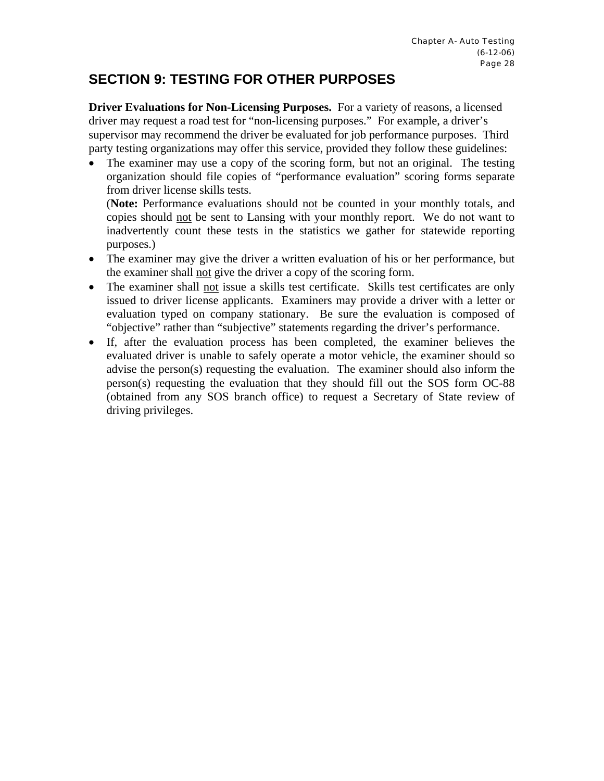# **SECTION 9: TESTING FOR OTHER PURPOSES**

**Driver Evaluations for Non-Licensing Purposes.** For a variety of reasons, a licensed driver may request a road test for "non-licensing purposes." For example, a driver's supervisor may recommend the driver be evaluated for job performance purposes. Third party testing organizations may offer this service, provided they follow these guidelines:

The examiner may use a copy of the scoring form, but not an original. The testing organization should file copies of "performance evaluation" scoring forms separate from driver license skills tests.

(**Note:** Performance evaluations should not be counted in your monthly totals, and copies should not be sent to Lansing with your monthly report. We do not want to inadvertently count these tests in the statistics we gather for statewide reporting purposes.)

- The examiner may give the driver a written evaluation of his or her performance, but the examiner shall not give the driver a copy of the scoring form.
- The examiner shall not issue a skills test certificate. Skills test certificates are only issued to driver license applicants. Examiners may provide a driver with a letter or evaluation typed on company stationary. Be sure the evaluation is composed of "objective" rather than "subjective" statements regarding the driver's performance.
- If, after the evaluation process has been completed, the examiner believes the evaluated driver is unable to safely operate a motor vehicle, the examiner should so advise the person(s) requesting the evaluation. The examiner should also inform the person(s) requesting the evaluation that they should fill out the SOS form OC-88 (obtained from any SOS branch office) to request a Secretary of State review of driving privileges.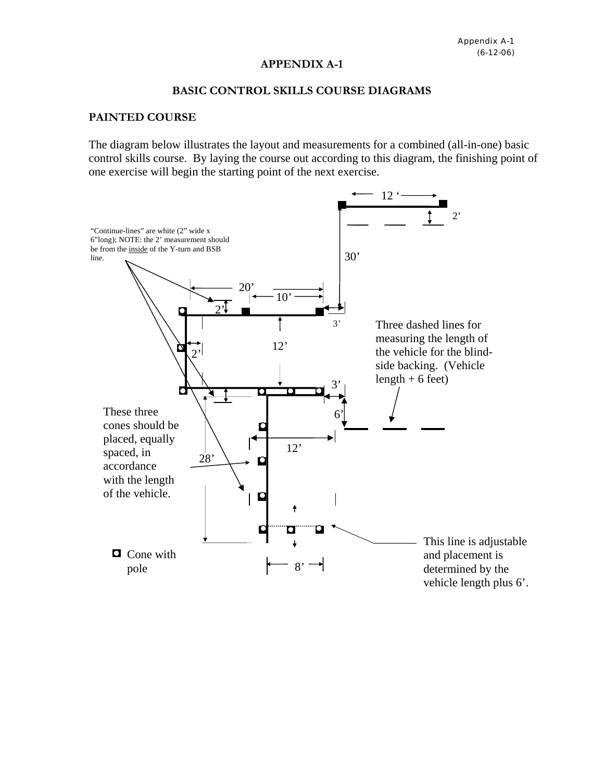#### **APPENDIX A-1**

#### **BASIC CONTROL SKILLS COURSE DIAGRAMS**

#### **PAINTED COURSE**

The diagram below illustrates the layout and measurements for a combined (all-in-one) basic control skills course. By laying the course out according to this diagram, the finishing point of one exercise will begin the starting point of the next exercise.

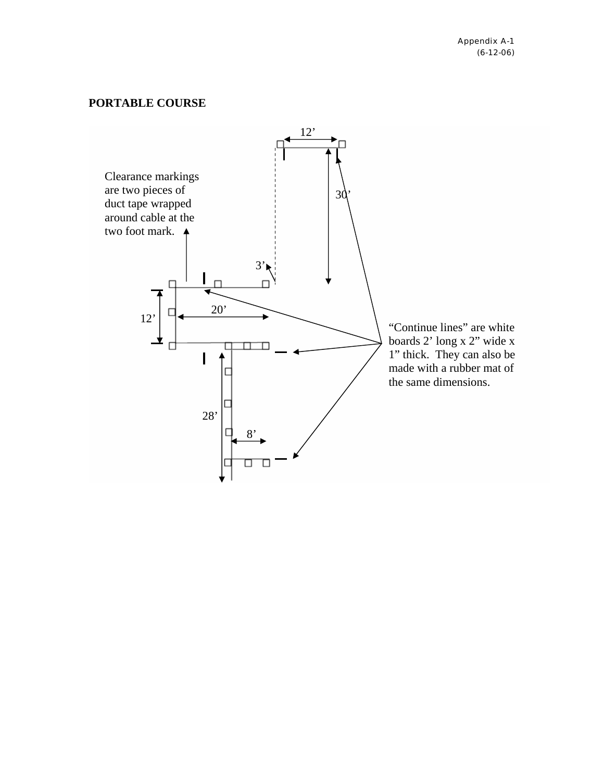# **PORTABLE COURSE**

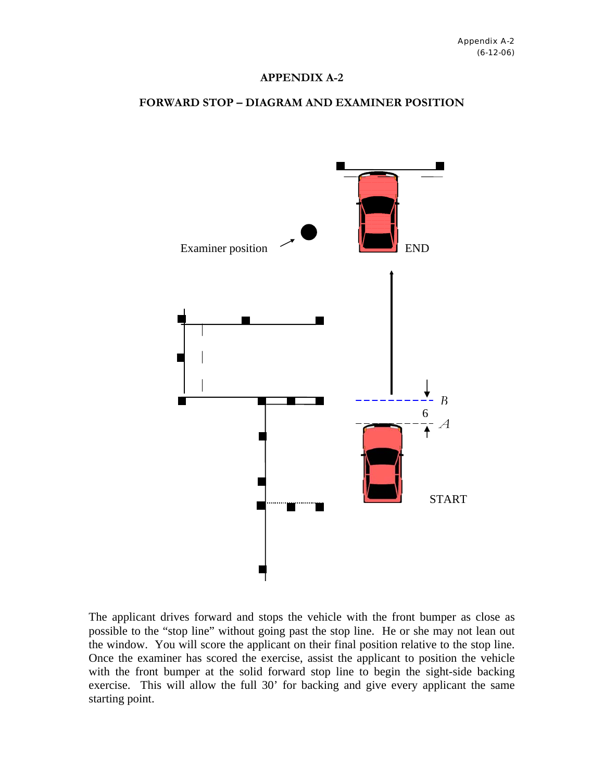#### **APPENDIX A-2**

#### **FORWARD STOP – DIAGRAM AND EXAMINER POSITION**



The applicant drives forward and stops the vehicle with the front bumper as close as possible to the "stop line" without going past the stop line. He or she may not lean out the window. You will score the applicant on their final position relative to the stop line. Once the examiner has scored the exercise, assist the applicant to position the vehicle with the front bumper at the solid forward stop line to begin the sight-side backing exercise. This will allow the full 30' for backing and give every applicant the same starting point.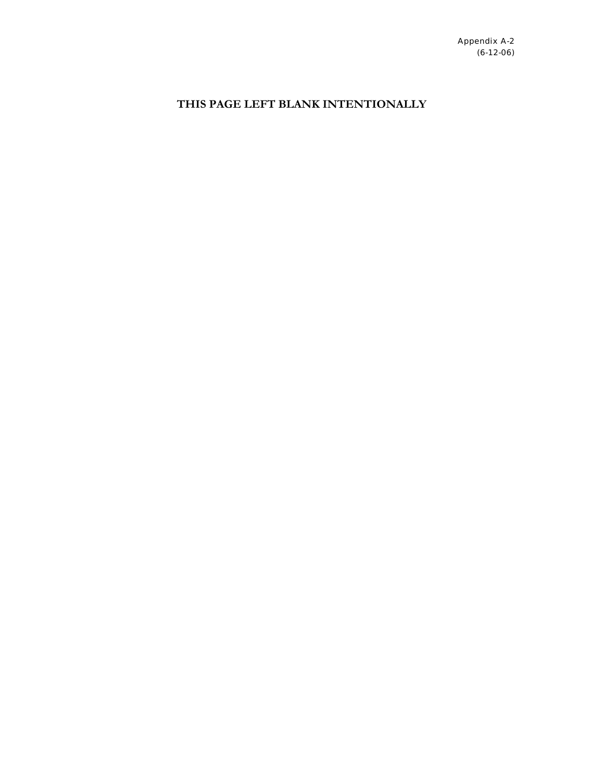# **THIS PAGE LEFT BLANK INTENTIONALLY**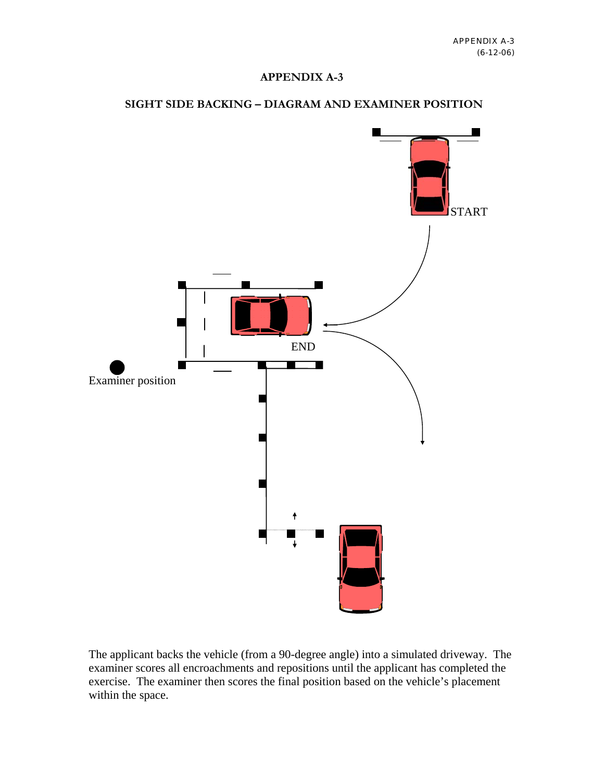### **APPENDIX A-3**



**SIGHT SIDE BACKING – DIAGRAM AND EXAMINER POSITION** 

The applicant backs the vehicle (from a 90-degree angle) into a simulated driveway. The examiner scores all encroachments and repositions until the applicant has completed the exercise. The examiner then scores the final position based on the vehicle's placement within the space.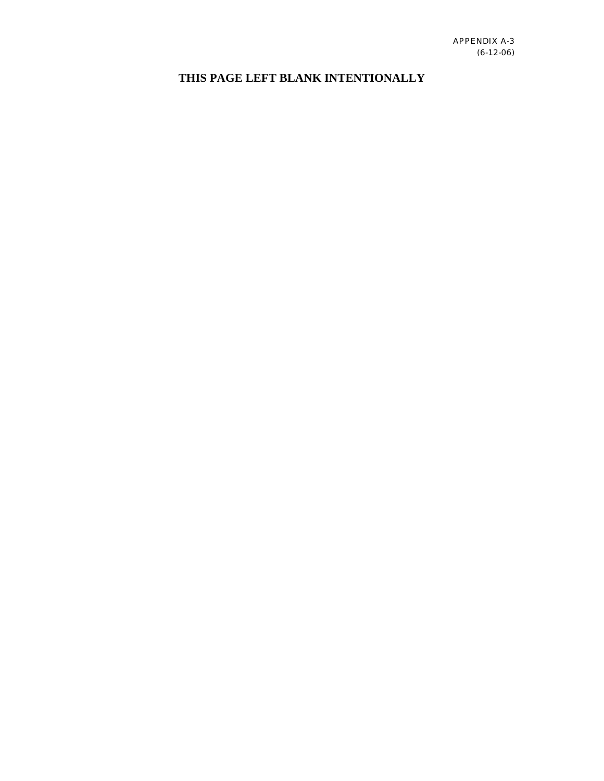# **THIS PAGE LEFT BLANK INTENTIONALLY**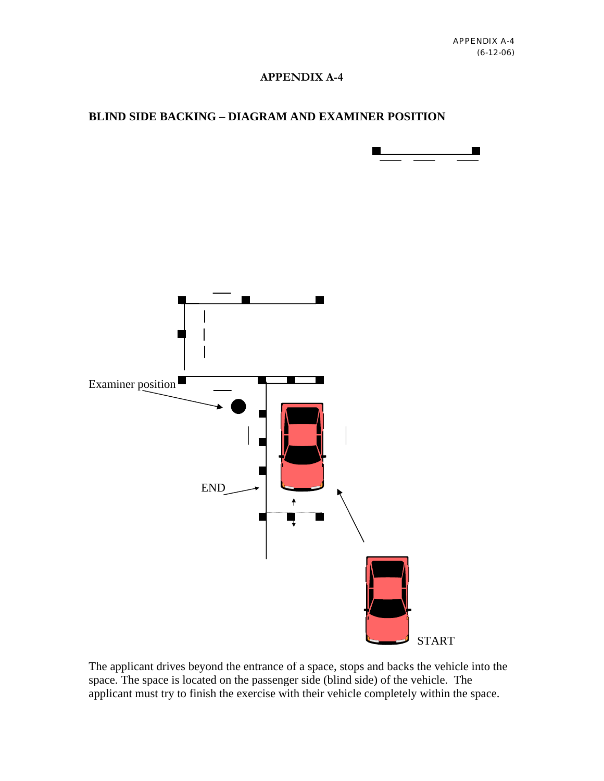# **APPENDIX A-4**

# **BLIND SIDE BACKING – DIAGRAM AND EXAMINER POSITION**



The applicant drives beyond the entrance of a space, stops and backs the vehicle into the space. The space is located on the passenger side (blind side) of the vehicle. The applicant must try to finish the exercise with their vehicle completely within the space.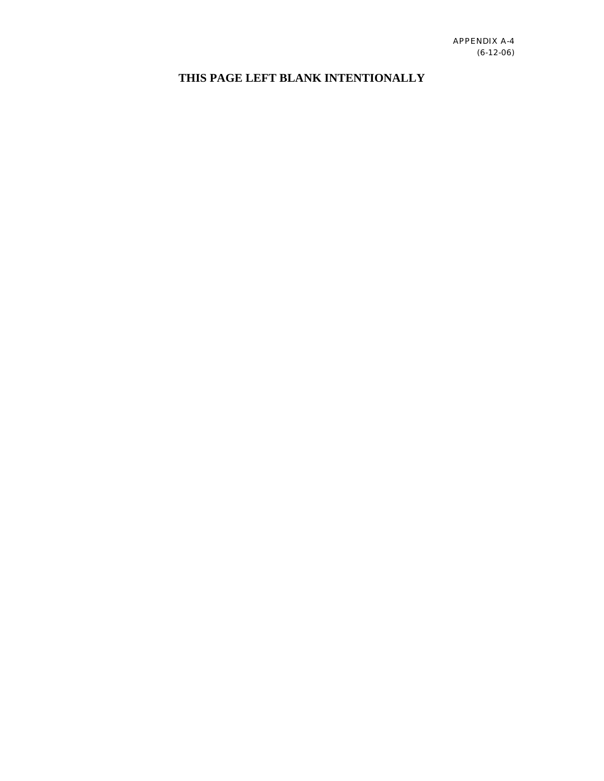# **THIS PAGE LEFT BLANK INTENTIONALLY**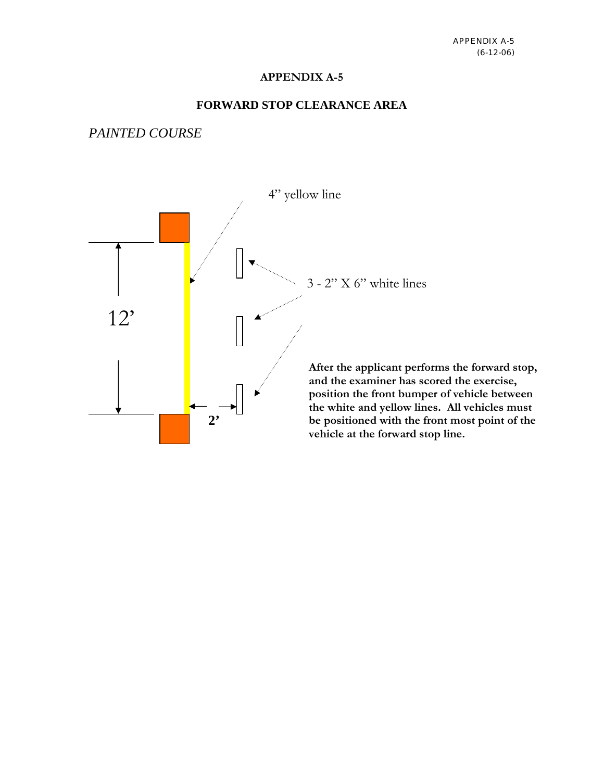### **APPENDIX A-5**

### **FORWARD STOP CLEARANCE AREA**

# *PAINTED COURSE*

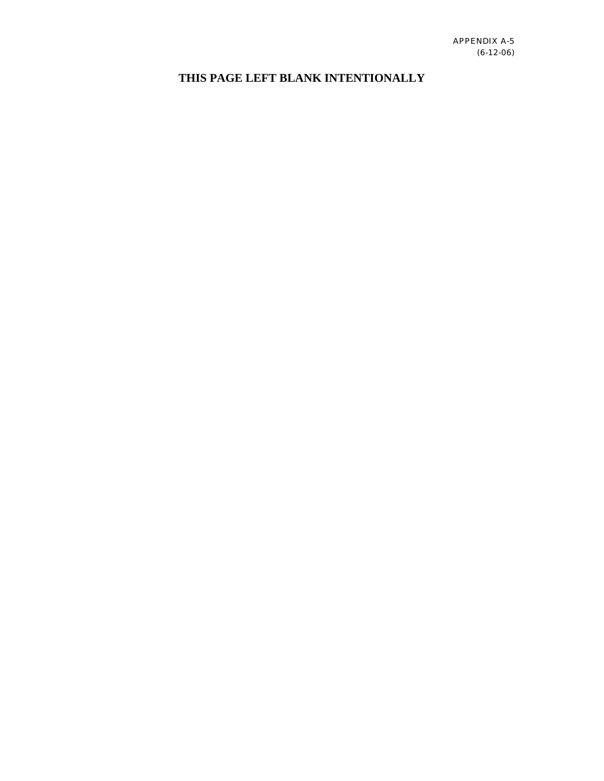# **THIS PAGE LEFT BLANK INTENTIONALLY**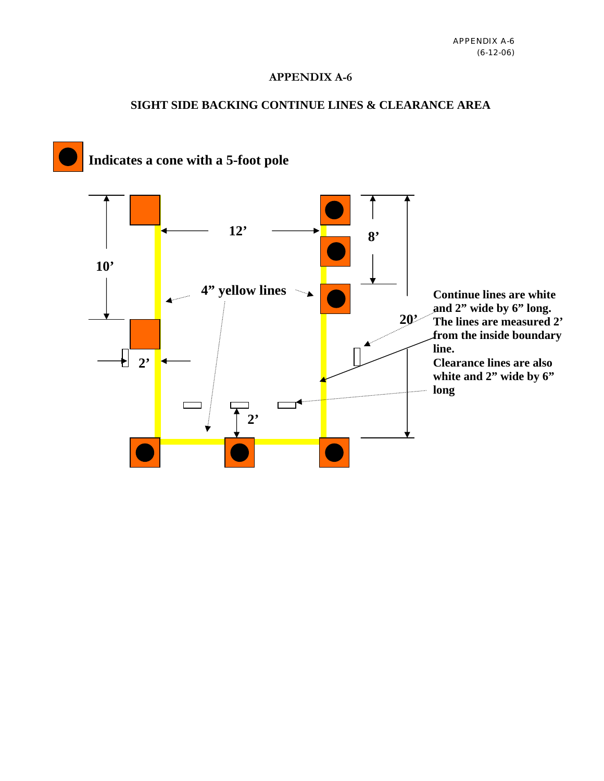### **APPENDIX A-6**

# **SIGHT SIDE BACKING CONTINUE LINES & CLEARANCE AREA**

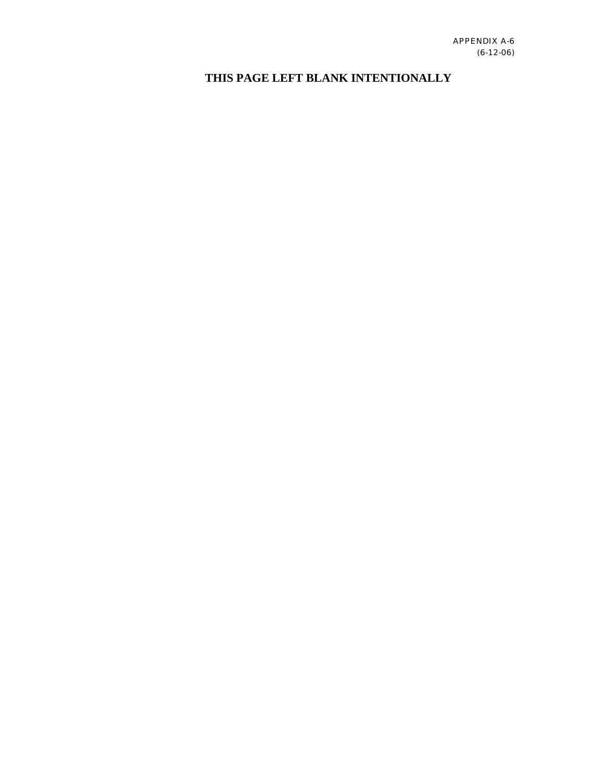# **THIS PAGE LEFT BLANK INTENTIONALLY**